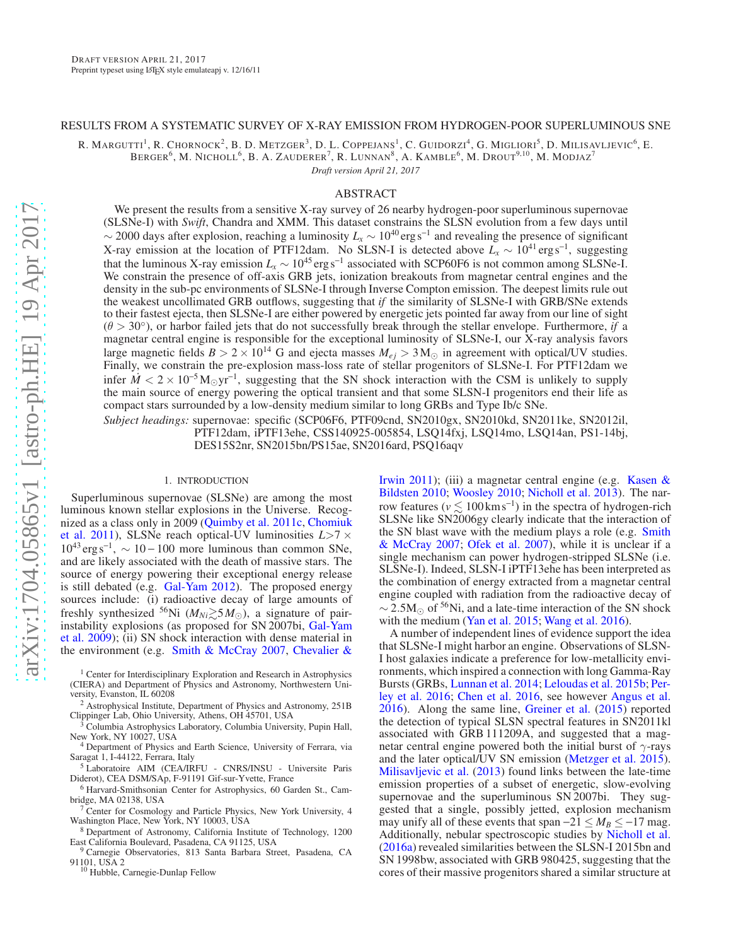#### RESULTS FROM A SYSTEMATIC SURVEY OF X-RAY EMISSION FROM HYDROGEN-POOR SUPERLUMINOUS SNE

R. MARGUTTI<sup>1</sup>, R. CHORNOCK<sup>2</sup>, B. D. METZGER<sup>3</sup>, D. L. COPPEJANS<sup>1</sup>, C. GUIDORZI<sup>4</sup>, G. MIGLIORI<sup>5</sup>, D. MILISAVLJEVIC<sup>6</sup>, E.

BERGER<sup>6</sup>, M. NICHOLL<sup>6</sup>, B. A. ZAUDERER<sup>7</sup>, R. LUNNAN<sup>8</sup>, A. KAMBLE<sup>6</sup>, M. DROUT<sup>9,10</sup>, M. MODJAZ<sup>7</sup>

*Draft version April 21, 2017*

## ABSTRACT

We present the results from a sensitive X-ray survey of 26 nearby hydrogen-poor superluminous supernovae (SLSNe-I) with *Swift*, Chandra and XMM. This dataset constrains the SLSN evolution from a few days until  $\sim$  2000 days after explosion, reaching a luminosity  $L_x \sim 10^{40}$  erg s<sup>-1</sup> and revealing the presence of significant X-ray emission at the location of PTF12dam. No SLSN-I is detected above  $\tilde{L_x} \sim 10^{41} \text{ erg s}^{-1}$ , suggesting that the luminous X-ray emission  $L_x \sim 10^{45} \text{ erg s}^{-1}$  associated with SCP60F6 is not common among SLSNe-I. We constrain the presence of off-axis GRB jets, ionization breakouts from magnetar central engines and the density in the sub-pc environments of SLSNe-I through Inverse Compton emission. The deepest limits rule out the weakest uncollimated GRB outflows, suggesting that *if* the similarity of SLSNe-I with GRB/SNe extends to their fastest ejecta, then SLSNe-I are either powered by energetic jets pointed far away from our line of sight  $(\theta > 30^{\circ})$ , or harbor failed jets that do not successfully break through the stellar envelope. Furthermore, *if* a magnetar central engine is responsible for the exceptional luminosity of SLSNe-I, our X-ray analysis favors large magnetic fields  $B > 2 \times 10^{14}$  G and ejecta masses  $M_{ej} > 3$  M<sub>o</sub> in agreement with optical/UV studies. Finally, we constrain the pre-explosion mass-loss rate of stellar progenitors of SLSNe-I. For PTF12dam we infer  $\dot{M}$  < 2 × 10<sup>-5</sup>M<sub>☉</sub>yr<sup>-1</sup>, suggesting that the SN shock interaction with the CSM is unlikely to supply the main source of energy powering the optical transient and that some SLSN-I progenitors end their life as compact stars surrounded by a low-density medium similar to long GRBs and Type Ib/c SNe.

*Subject headings:* supernovae: specific (SCP06F6, PTF09cnd, SN2010gx, SN2010kd, SN2011ke, SN2012il, PTF12dam, iPTF13ehe, CSS140925-005854, LSQ14fxj, LSQ14mo, LSQ14an, PS1-14bj, DES15S2nr, SN2015bn/PS15ae, SN2016ard, PSQ16aqv

#### 1. INTRODUCTION

Superluminous supernovae (SLSNe) are among the most luminous known stellar explosions in the Universe. Recognize[d as a class only in 2009](#page-11-0) [\(Quimby et al. 2011c](#page-12-0)[,](#page-11-0) Chomiuk et al. [2011](#page-11-0)), SLSNe reach optical-UV luminosities *L*>7 ×  $10^{43}$  erg s<sup>-1</sup>,  $\sim 10 - 100$  more luminous than common SNe, and are likely associated with the death of massive stars. The [source of energy powering their exceptional energy release](#page-11-3) is still debated (e.g. [Gal-Yam 2012](#page-11-1)). The proposed energy sources include: (i) radioactive decay of large amounts of freshly synthesized <sup>56</sup>Ni ( $M_{Ni} \gtrsim 5 M_{\odot}$ ), a signature of pairinsta[bility explosions \(as proposed for SN 2007bi,](#page-11-2) Gal-Yam et al. [2009\)](#page-11-2); (ii) SN shock interaction with dense material in the environment (e.g. [Smith & McCray 2007](#page-12-1), Chevalier &

<sup>1</sup> Center for Interdisciplinary Exploration and Research in Astrophysics (CIERA) and Department of Physics and Astronomy, Northwestern University, Evanston, IL 60208

<sup>2</sup> Astrophysical Institute, Department of Physics and Astronomy, 251B Clippinger Lab, Ohio University, Athens, OH 45701, USA

<sup>3</sup> Columbia Astrophysics Laboratory, Columbia University, Pupin Hall, New York, NY 10027, USA

<sup>4</sup> Department of Physics and Earth Science, University of Ferrara, via Saragat 1, I-44122, Ferrara, Italy

<sup>5</sup> Laboratoire AIM (CEA/IRFU - CNRS/INSU - Universite Paris Diderot), CEA DSM/SAp, F-91191 Gif-sur-Yvette, France

<sup>6</sup> Harvard-Smithsonian Center for Astrophysics, 60 Garden St., Cambridge, MA 02138, USA

<sup>7</sup> Center for Cosmology and Particle Physics, New York University, 4 Washington Place, New York, NY 10003, USA

<sup>8</sup> Department of Astronomy, California Institute of Technology, 1200 East California Boulevard, Pasadena, CA 91125, USA

<sup>9</sup> Carnegie Observatories, 813 Santa Barbara Street, Pasadena, CA 91101, USA 2

<sup>10</sup> Hubble, Carnegie-Dunlap Fellow

Irwin [2011](#page-11-3)[\); \(iii\) a magnetar central engine \(e.g.](#page-11-4) Kasen & Bildsten [2010;](#page-11-4) [Woosley 2010;](#page-12-2) [Nicholl et al. 2013\)](#page-12-3). The narrow features ( $v \lesssim 100 \,\mathrm{km\,s^{-1}}$ ) in the spectra of hydrogen-rich SLSNe like SN2006gy clearly indicate that the interaction of the SN bla[st wave with the medium plays a role \(e.g.](#page-12-1) Smith & McCray [2007;](#page-12-1) [Ofek et al. 2007\)](#page-12-4), while it is unclear if a single mechanism can power hydrogen-stripped SLSNe (i.e. SLSNe-I). Indeed, SLSN-I iPTF13ehe has been interpreted as the combination of energy extracted from a magnetar central engine coupled with radiation from the radioactive decay of  $\sim$  2.5M<sub>☉</sub> of <sup>56</sup>Ni, and a late-time interaction of the SN shock with the medium [\(Yan et al. 2015](#page-12-5); [Wang et al. 2016\)](#page-12-6).

A number of independent lines of evidence support the idea that SLSNe-I might harbor an engine. Observations of SLSN-I host galaxies indicate a preference for low-metallicity environments, which inspired a connection with long Gamma-Ray Bursts (GRBs, [Lunnan et al. 2014](#page-12-7); [Leloudas et al. 2015b](#page-12-8)[;](#page-12-9) Perley et al. [2016](#page-12-9); [Chen et al. 2016](#page-11-5), see however [Angus et al.](#page-11-6) [2016\)](#page-11-6). Along the same line, [Greiner et al.](#page-11-7) [\(2015](#page-11-7)) reported the detection of typical SLSN spectral features in SN2011kl associated with GRB 111209A, and suggested that a magnetar central engine powered both the initial burst of  $\gamma$ -rays and the later optical/UV SN emission [\(Metzger et al. 2015](#page-12-10)). [Milisavljevic et al.](#page-12-11) [\(2013\)](#page-12-11) found links between the late-time emission properties of a subset of energetic, slow-evolving supernovae and the superluminous SN 2007bi. They suggested that a single, possibly jetted, explosion mechanism may unify all of these events that span  $-21 \le M_B \le -17$  mag. Additionally, nebular spectroscopic studies by [Nicholl et al.](#page-12-12) [\(2016a\)](#page-12-12) revealed similarities between the SLSN-I 2015bn and SN 1998bw, associated with GRB 980425, suggesting that the cores of their massive progenitors shared a similar structure at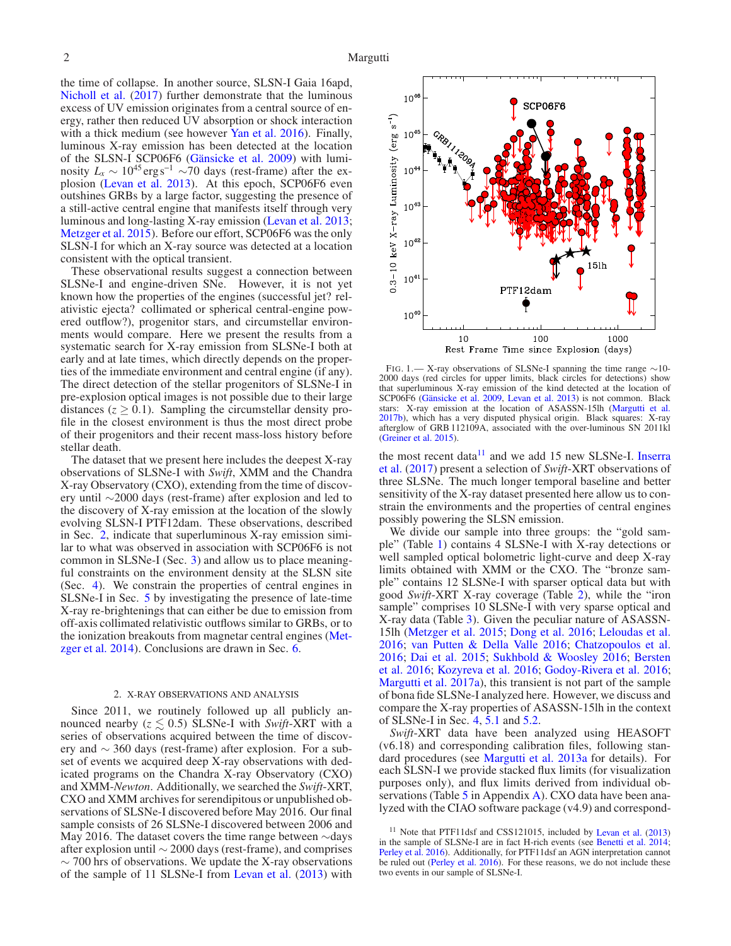the time of collapse. In another source, SLSN-I Gaia 16apd, [Nicholl et al.](#page-12-13) [\(2017\)](#page-12-13) further demonstrate that the luminous excess of UV emission originates from a central source of energy, rather then reduced UV absorption or shock interaction with a thick medium (see however [Yan et al. 2016\)](#page-12-14). Finally, luminous X-ray emission has been detected at the location of the SLSN-I SCP06F6 [\(Gänsicke et al. 2009\)](#page-11-8) with luminosity  $L_x \sim 10^{45} \text{ erg s}^{-1} \sim 70 \text{ days}$  (rest-frame) after the explosion [\(Levan et al. 2013\)](#page-12-15). At this epoch, SCP06F6 even outshines GRBs by a large factor, suggesting the presence of a still-active central engine that manifests itself through very luminous and long-lasting X-ray emission [\(Levan et al. 2013;](#page-12-15) [Metzger et al. 2015\)](#page-12-10). Before our effort, SCP06F6 was the only SLSN-I for which an X-ray source was detected at a location consistent with the optical transient.

These observational results suggest a connection between SLSNe-I and engine-driven SNe. However, it is not yet known how the properties of the engines (successful jet? relativistic ejecta? collimated or spherical central-engine powered outflow?), progenitor stars, and circumstellar environments would compare. Here we present the results from a systematic search for X-ray emission from SLSNe-I both at early and at late times, which directly depends on the properties of the immediate environment and central engine (if any). The direct detection of the stellar progenitors of SLSNe-I in pre-explosion optical images is not possible due to their large distances  $(z \ge 0.1)$ . Sampling the circumstellar density profile in the closest environment is thus the most direct probe of their progenitors and their recent mass-loss history before stellar death.

The dataset that we present here includes the deepest X-ray observations of SLSNe-I with *Swift*, XMM and the Chandra X-ray Observatory (CXO), extending from the time of discovery until ∼2000 days (rest-frame) after explosion and led to the discovery of X-ray emission at the location of the slowly evolving SLSN-I PTF12dam. These observations, described in Sec. [2,](#page-1-0) indicate that superluminous X-ray emission similar to what was observed in association with SCP06F6 is not common in SLSNe-I (Sec. [3\)](#page-5-0) and allow us to place meaningful constraints on the environment density at the SLSN site (Sec. [4\)](#page-5-1). We constrain the properties of central engines in SLSNe-I in Sec. [5](#page-7-0) by investigating the presence of late-time X-ray re-brightenings that can either be due to emission from off-axis collimated relativistic outflows similar to GRBs, or to the ionization breakouts from magnetar central engines (Met-zger et al. [2014](#page-12-16)). Conclusions are drawn in Sec. [6.](#page-10-0)

#### 2. X-RAY OBSERVATIONS AND ANALYSIS

<span id="page-1-0"></span>Since 2011, we routinely followed up all publicly announced nearby  $(z \leq 0.5)$  SLSNe-I with *Swift-XRT* with a series of observations acquired between the time of discovery and ∼ 360 days (rest-frame) after explosion. For a subset of events we acquired deep X-ray observations with dedicated programs on the Chandra X-ray Observatory (CXO) and XMM-*Newton*. Additionally, we searched the *Swift*-XRT, CXO and XMM archives for serendipitous or unpublished observations of SLSNe-I discovered before May 2016. Our final sample consists of 26 SLSNe-I discovered between 2006 and May 2016. The dataset covers the time range between ∼days after explosion until ∼ 2000 days (rest-frame), and comprises  $\sim$  700 hrs of observations. We update the X-ray observations of the sample of 11 SLSNe-I from [Levan et al.](#page-12-15) [\(2013\)](#page-12-15) with



<span id="page-1-2"></span>FIG. 1.— X-ray observations of SLSNe-I spanning the time range ∼10- 2000 days (red circles for upper limits, black circles for detections) show that superluminous X-ray emission of the kind detected at the location of SCP06F6 [\(Gänsicke et al. 2009](#page-11-8), [Levan et al. 2013\)](#page-12-15) is not common. Black stars: X-ray emission at the location of ASASSN-15lh [\(Margutti et al.](#page-12-17) [2017b](#page-12-17)), which has a very disputed physical origin. Black squares: X-ray afterglow of GRB 112109A, associated with the over-luminous SN 2011kl [\(Greiner et al. 2015\)](#page-11-7).

the most recent data $11$  [and we add 15 new SLSNe-I.](#page-11-9) Inserra et al. [\(2017](#page-11-9)) present a selection of *Swift*-XRT observations of three SLSNe. The much longer temporal baseline and better sensitivity of the X-ray dataset presented here allow us to constrain the environments and the properties of central engines possibly powering the SLSN emission.

We divide our sample into three groups: the "gold sample" (Table [1\)](#page-2-0) contains 4 SLSNe-I with X-ray detections or well sampled optical bolometric light-curve and deep X-ray limits obtained with XMM or the CXO. The "bronze sample" contains 12 SLSNe-I with sparser optical data but with good *Swift*-XRT X-ray coverage (Table [2\)](#page-2-1), while the "iron sample" comprises 10 SLSNe-I with very sparse optical and X-ray data (Table [3\)](#page-3-0). Given the peculiar nature of ASASSN-15lh [\(Metzger et al. 2015;](#page-12-10) [Dong et al. 2016](#page-11-10); [Leloudas et al.](#page-12-18) [2016;](#page-12-18) [van Putten & Della Valle 2016](#page-12-19); [Chatzopoulos et al.](#page-11-11) [2016;](#page-11-11) [Dai et al. 2015;](#page-11-12) [Sukhbold & Woosley 2016](#page-12-20)[;](#page-11-13) Bersten et al. [2016;](#page-11-13) [Kozyreva et al. 2016;](#page-12-21) [Godoy-Rivera et al. 2016](#page-11-14); [Margutti et al. 2017a](#page-12-22)), this transient is not part of the sample of bona fide SLSNe-I analyzed here. However, we discuss and compare the X-ray properties of ASASSN-15lh in the context of SLSNe-I in Sec. [4,](#page-5-1) [5.1](#page-7-1) and [5.2.](#page-9-0)

*Swift*-XRT data have been analyzed using HEASOFT (v6.18) and corresponding calibration files, following standard procedures (see [Margutti et al. 2013a](#page-12-23) for details). For each SLSN-I we provide stacked flux limits (for visualization purposes only), and flux limits derived from individual ob-servations (Table [5](#page-14-0) in Appendix [A\)](#page-12-24). CXO data have been analyzed with the CIAO software package (v4.9) and correspond-

<span id="page-1-1"></span>Note that PTF11dsf and CSS121015, included by [Levan et al.](#page-12-15) [\(2013](#page-12-15)) in the sample of SLSNe-I are in fact H-rich events (see [Benetti et al. 2014;](#page-11-15) [Perley et al. 2016\)](#page-12-9). Additionally, for PTF11dsf an AGN interpretation cannot be ruled out [\(Perley et al. 2016](#page-12-9)). For these reasons, we do not include these two events in our sample of SLSNe-I.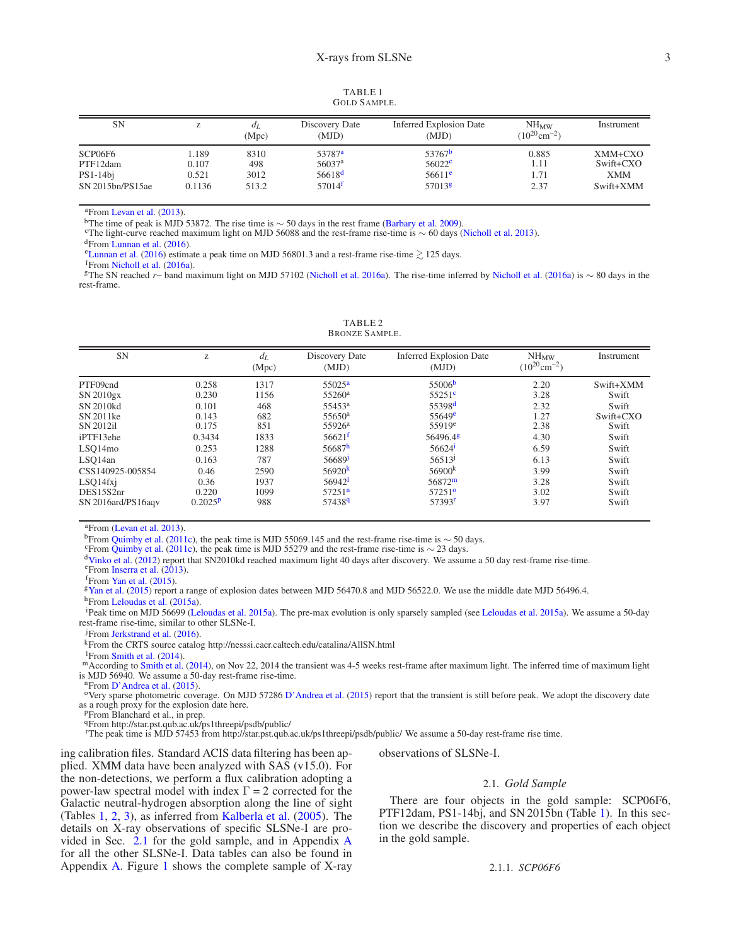TABLE 1 GOLD SAMPLE.

<span id="page-2-0"></span>

| <b>SN</b>           |                | аL<br>(Mpc) | Discovery Date<br>(MJD)                  | <b>Inferred Explosion Date</b><br>(MJD)  | $NH_{MW}$<br>$(10^{20} \text{cm}^{-2})$ | Instrument           |
|---------------------|----------------|-------------|------------------------------------------|------------------------------------------|-----------------------------------------|----------------------|
| SCP06F6<br>PTF12dam | 1.189<br>0.107 | 8310<br>498 | 53787 <sup>a</sup><br>56037 <sup>a</sup> | 53767 <sup>b</sup><br>56022 <sup>c</sup> | 0.885<br>1.11                           | XMM+CXO<br>Swift+CXO |
| $PS1-14bi$          | 0.521          | 3012        | 56618 <sup>d</sup>                       | $56611$ <sup>e</sup>                     | 1.71                                    | <b>XMM</b>           |
| SN 2015bn/PS15ae    | 0.1136         | 513.2       | 57014 <sup>f</sup>                       | 57013 <sup>g</sup>                       | 2.37                                    | Swift+XMM            |

<sup>a</sup>From [Levan et al.](#page-12-15) [\(2013\)](#page-12-15).

<span id="page-2-2"></span><sup>b</sup>The time of peak is MJD 53872. The rise time is ∼ 50 days in the rest frame [\(Barbary et al. 2009](#page-11-16)).

<span id="page-2-3"></span><sup>c</sup>The light-curve reached maximum light on MJD 56088 and the rest-frame rise-time is ∼ 60 days [\(Nicholl et al. 2013](#page-12-3)).

<span id="page-2-4"></span><sup>d</sup>From [Lunnan et al.](#page-12-25) [\(2016\)](#page-12-25).

<span id="page-2-5"></span><sup>e</sup>[Lunnan et al.](#page-12-25) [\(2016\)](#page-12-25) estimate a peak time on MJD 56801.3 and a rest-frame rise-time  $\geq 125$  days.

<span id="page-2-7"></span><span id="page-2-6"></span><sup>f</sup>From [Nicholl et al.](#page-12-12) [\(2016a\)](#page-12-12).

<span id="page-2-8"></span><span id="page-2-1"></span><sup>g</sup>The SN reached *r*− band maximum light on MJD 57102 [\(Nicholl et al. 2016a\)](#page-12-12). The rise-time inferred by [Nicholl et al.](#page-12-12) [\(2016a\)](#page-12-12) is ∼ 80 days in the rest-frame.

TABLE 2 BRONZE SAMPLE.

| <b>SN</b>          | Z       | $d_L$<br>(Mpc) | Discovery Date<br>(MJD) | <b>Inferred Explosion Date</b><br>(MJD) | $NH_{MW}$<br>$(10^{20} \text{cm}^{-2})$ | Instrument |
|--------------------|---------|----------------|-------------------------|-----------------------------------------|-----------------------------------------|------------|
| PTF09cnd           | 0.258   | 1317           | $55025^{\rm a}$         | 55006 <sup>b</sup>                      | 2.20                                    | Swift+XMM  |
| SN 2010gx          | 0.230   | 1156           | 55260 <sup>a</sup>      | $55251$ <sup>c</sup>                    | 3.28                                    | Swift      |
| SN 2010kd          | 0.101   | 468            | 55453 <sup>a</sup>      | 55398 <sup>d</sup>                      | 2.32                                    | Swift      |
| SN 2011ke          | 0.143   | 682            | $55650^{\rm a}$         | $55649$ <sup>e</sup>                    | 1.27                                    | Swift+CXO  |
| SN 2012il          | 0.175   | 851            | 55926 <sup>a</sup>      | $55919^e$                               | 2.38                                    | Swift      |
| iPTF13ehe          | 0.3434  | 1833           | $56621^{f}$             | 56496.48                                | 4.30                                    | Swift      |
| LSQ14mo            | 0.253   | 1288           | 56687 <sup>h</sup>      | 56624 <sup>i</sup>                      | 6.59                                    | Swift      |
| LSO14an            | 0.163   | 787            | 56689 <sup>J</sup>      | 56513                                   | 6.13                                    | Swift      |
| CSS140925-005854   | 0.46    | 2590           | 56920 $k$               | 56900 <sup>k</sup>                      | 3.99                                    | Swift      |
| LSQ14fxj           | 0.36    | 1937           | $56942$ <sup>1</sup>    | $56872^m$                               | 3.28                                    | Swift      |
| DES15S2nr          | 0.220   | 1099           | 57251 <sup>n</sup>      | $57251^{\circ}$                         | 3.02                                    | Swift      |
| SN 2016ard/PS16agv | 0.2025P | 988            | 574389                  | 57393 <sup>r</sup>                      | 3.97                                    | Swift      |

<sup>a</sup>From [\(Levan et al. 2013\)](#page-12-15).

<span id="page-2-9"></span><sup>b</sup>From [Quimby et al.](#page-12-0) [\(2011c](#page-12-0)), the peak time is MJD 55069.145 and the rest-frame rise-time is  $\sim$  50 days.

<span id="page-2-10"></span>From [Quimby et al.](#page-12-0) [\(2011c](#page-12-0)), the peak time is MJD 55279 and the rest-frame rise-time is  $\sim$  23 days.

<span id="page-2-11"></span><sup>d</sup>[Vinko et al.](#page-12-26) [\(2012\)](#page-12-26) report that SN2010kd reached maximum light 40 days after discovery. We assume a 50 day rest-frame rise-time.

<span id="page-2-12"></span><sup>e</sup>From [Inserra et al.](#page-11-17) [\(2013\)](#page-11-17).

<span id="page-2-13"></span> ${}^{\text{f}}$ From [Yan et al.](#page-12-5) [\(2015\)](#page-12-5).

<span id="page-2-14"></span><sup>g</sup>[Yan et al.](#page-12-5) [\(2015\)](#page-12-5) report a range of explosion dates between MJD 56470.8 and MJD 56522.0. We use the middle date MJD 56496.4.

<span id="page-2-15"></span>h<sub>From [Leloudas et al.](#page-12-27) [\(2015a](#page-12-27)).</sub>

<span id="page-2-17"></span><span id="page-2-16"></span><sup>i</sup>Peak time on MJD 56699 [\(Leloudas et al. 2015a\)](#page-12-27). The pre-max evolution is only sparsely sampled (see [Leloudas et al. 2015a\)](#page-12-27). We assume a 50-day rest-frame rise-time, similar to other SLSNe-I.

<sup>j</sup>From [Jerkstrand et al.](#page-11-18) [\(2016](#page-11-18)).

<span id="page-2-18"></span><sup>k</sup>From the CRTS source catalog http://nesssi.cacr.caltech.edu/catalina/AllSN.html

<span id="page-2-19"></span><sup>1</sup>From [Smith et al.](#page-12-28) [\(2014](#page-12-28)).

<span id="page-2-20"></span>m According to [Smith et al.](#page-12-28) [\(2014](#page-12-28)), on Nov 22, 2014 the transient was 4-5 weeks rest-frame after maximum light. The inferred time of maximum light is MJD 56940. We assume a 50-day rest-frame rise-time.

<span id="page-2-21"></span><sup>n</sup>From [D'Andrea et al.](#page-11-19) [\(2015](#page-11-19)).

<span id="page-2-22"></span><sup>o</sup>Very sparse photometric coverage. On MJD 57286 [D'Andrea et al.](#page-11-19) [\(2015](#page-11-19)) report that the transient is still before peak. We adopt the discovery date as a rough proxy for the explosion date here.

<span id="page-2-23"></span><sup>p</sup>From Blanchard et al., in prep.

<span id="page-2-24"></span><sup>q</sup>From http://star.pst.qub.ac.uk/ps1threepi/psdb/public/

<span id="page-2-26"></span><span id="page-2-25"></span><sup>r</sup>The peak time is MJD 57453 from http://star.pst.qub.ac.uk/ps1threepi/psdb/public/ We assume a 50-day rest-frame rise time.

ing calibration files. Standard ACIS data filtering has been applied. XMM data have been analyzed with SAS (v15.0). For the non-detections, we perform a flux calibration adopting a power-law spectral model with index  $\Gamma = 2$  corrected for the Galactic neutral-hydrogen absorption along the line of sight (Tables [1,](#page-2-0) [2,](#page-2-1) [3\)](#page-3-0), as inferred from [Kalberla et al.](#page-11-20) [\(2005\)](#page-11-20). The details on X-ray observations of specific SLSNe-I are provided in Sec.  $2.1$  for the gold sample, and in [A](#page-12-24)ppendix A for all the other SLSNe-I. Data tables can also be found in Appendix [A.](#page-12-24) Figure [1](#page-1-2) shows the complete sample of X-ray <span id="page-2-27"></span>observations of SLSNe-I.

#### 2.1. *Gold Sample*

There are four objects in the gold sample: SCP06F6, PTF12dam, PS1-14bj, and SN 2015bn (Table [1\)](#page-2-0). In this section we describe the discovery and properties of each object in the gold sample.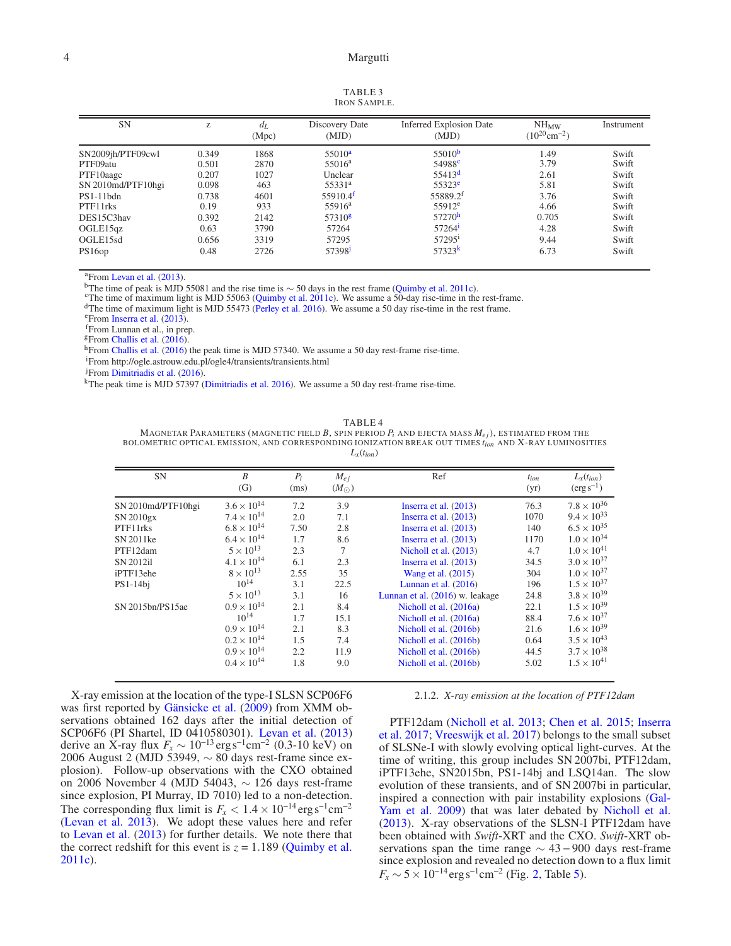<span id="page-3-0"></span>

| <b>SN</b>                       | Z              | $d_L$<br>(Mpc) | Discovery Date<br>(MJD)                  | <b>Inferred Explosion Date</b><br>(MJD)  | $NH_{MW}$<br>$(10^{20} \text{cm}^{-2})$ | Instrument     |
|---------------------------------|----------------|----------------|------------------------------------------|------------------------------------------|-----------------------------------------|----------------|
| SN2009jh/PTF09cwl<br>PTF09atu   | 0.349<br>0.501 | 1868<br>2870   | 55010 <sup>a</sup><br>55016 <sup>a</sup> | 55010 <sup>b</sup><br>54988 <sup>c</sup> | 1.49<br>3.79                            | Swift<br>Swift |
| PTF10aagc<br>SN 2010md/PTF10hgi | 0.207<br>0.098 | 1027<br>463    | Unclear<br>55331 <sup>a</sup>            | 55413 <sup>d</sup><br>55323 <sup>e</sup> | 2.61<br>5.81                            | Swift<br>Swift |
| $PS1-11$ bdn<br>PTF11rks        | 0.738<br>0.19  | 4601<br>933    | $55910.4$ <sup>f</sup><br>$55916^a$      | 55889.2f<br>$55912^e$                    | 3.76<br>4.66                            | Swift<br>Swift |
| DES15C3hav                      | 0.392          | 2142           | 57310 <sup>g</sup>                       | 57270 <sup>h</sup>                       | 0.705                                   | Swift          |
| OGLE15qz                        | 0.63           | 3790           | 57264                                    | 57264                                    | 4.28                                    | Swift          |
| OGLE15sd                        | 0.656          | 3319           | 57295                                    | 572951                                   | 9.44                                    | Swift          |
| PS16op                          | 0.48           | 2726           | 57398 <sup>J</sup>                       | 57323 <sup>k</sup>                       | 6.73                                    | Swift          |

<sup>a</sup>From [Levan et al.](#page-12-15) [\(2013\)](#page-12-15).

<span id="page-3-1"></span><sup>b</sup>The time of peak is MJD 55081 and the rise time is ∼ 50 days in the rest frame [\(Quimby et al. 2011c](#page-12-0)).

<span id="page-3-2"></span><sup>c</sup>The time of maximum light is MJD 55063 [\(Quimby et al. 2011c](#page-12-0)). We assume a 50-day rise-time in the rest-frame.

<span id="page-3-3"></span><sup>d</sup>The time of maximum light is MJD 55473 [\(Perley et al. 2016\)](#page-12-9). We assume a 50 day rise-time in the rest frame.

<span id="page-3-4"></span><sup>e</sup>From [Inserra et al.](#page-11-17) [\(2013\)](#page-11-17).

<span id="page-3-5"></span><sup>f</sup>From Lunnan et al., in prep.

<span id="page-3-6"></span> $E$ From [Challis et al.](#page-11-21) [\(2016](#page-11-21)).

<span id="page-3-7"></span><sup>h</sup>From [Challis et al.](#page-11-21) [\(2016](#page-11-21)) the peak time is MJD 57340. We assume a 50 day rest-frame rise-time.

<span id="page-3-8"></span><sup>i</sup>From http://ogle.astrouw.edu.pl/ogle4/transients/transients.html

<span id="page-3-9"></span><sup>j</sup>From [Dimitriadis et al.](#page-11-22) [\(2016\)](#page-11-22).

<span id="page-3-11"></span><span id="page-3-10"></span><sup>k</sup>The peak time is MJD 57397 [\(Dimitriadis et al. 2016](#page-11-22)). We assume a 50 day rest-frame rise-time.

TABLE 4

<span id="page-3-12"></span>MAGNETAR PARAMETERS (MAGNETIC FIELD  $B$ , SPIN PERIOD  $P_i$  AND EJECTA MASS  $M_{ej}$ ), ESTIMATED FROM THE BOLOMETRIC OPTICAL EMISSION, AND CORRESPONDING IONIZATION BREAK OUT TIMES *t<sub>ion</sub>* AND **X**-RAY LUMINOSITIES

| <b>SN</b>          | B<br>(G)             | $P_i$<br>(ms) | $M_{ei}$<br>$(M_{\odot})$ | Ref                             | $t_{ion}$<br>(yr) | $L_{\rm x}(t_{ion})$<br>$(\text{erg}\,\text{s}^{-1})$ |
|--------------------|----------------------|---------------|---------------------------|---------------------------------|-------------------|-------------------------------------------------------|
| SN 2010md/PTF10hgi | $3.6 \times 10^{14}$ | 7.2           | 3.9                       | Inserra et al. $(2013)$         | 76.3              | $7.8 \times 10^{36}$                                  |
| SN 2010gx          | $7.4 \times 10^{14}$ | 2.0           | 7.1                       | Inserra et al. (2013)           | 1070              | $9.4 \times 10^{33}$                                  |
| PTF11rks           | $6.8 \times 10^{14}$ | 7.50          | 2.8                       | Inserra et al. $(2013)$         | 140               | $6.5 \times 10^{35}$                                  |
| SN 2011ke          | $6.4 \times 10^{14}$ | 1.7           | 8.6                       | Inserra et al. (2013)           | 1170              | $1.0 \times 10^{34}$                                  |
| PTF12dam           | $5 \times 10^{13}$   | 2.3           | $\tau$                    | Nicholl et al. (2013)           | 4.7               | $1.0 \times 10^{41}$                                  |
| SN 2012il          | $4.1 \times 10^{14}$ | 6.1           | 2.3                       | Inserra et al. (2013)           | 34.5              | $3.0 \times 10^{37}$                                  |
| iPTF13ehe          | $8 \times 10^{13}$   | 2.55          | 35                        | Wang et al. (2015)              | 304               | $1.0 \times 10^{37}$                                  |
| $PS1-14bi$         | $10^{14}$            | 3.1           | 22.5                      | Lunnan et al. $(2016)$          | 196               | $1.5 \times 10^{37}$                                  |
|                    | $5 \times 10^{13}$   | 3.1           | 16                        | Lunnan et al. (2016) w. leakage | 24.8              | $3.8 \times 10^{39}$                                  |
| SN 2015bn/PS15ae   | $0.9 \times 10^{14}$ | 2.1           | 8.4                       | Nicholl et al. (2016a)          | 22.1              | $1.5 \times 10^{39}$                                  |
|                    | $10^{14}$            | 1.7           | 15.1                      | Nicholl et al. (2016a)          | 88.4              | $7.6 \times 10^{37}$                                  |
|                    | $0.9 \times 10^{14}$ | 2.1           | 8.3                       | Nicholl et al. (2016b)          | 21.6              | $1.6 \times 10^{39}$                                  |
|                    | $0.2 \times 10^{14}$ | 1.5           | 7.4                       | Nicholl et al. (2016b)          | 0.64              | $3.5 \times 10^{43}$                                  |
|                    | $0.9 \times 10^{14}$ | 2.2           | 11.9                      | Nicholl et al. (2016b)          | 44.5              | $3.7 \times 10^{38}$                                  |
|                    | $0.4 \times 10^{14}$ | 1.8           | 9.0                       | Nicholl et al. (2016b)          | 5.02              | $1.5 \times 10^{41}$                                  |

X-ray emission at the location of the type-I SLSN SCP06F6 was first reported by [Gänsicke et al.](#page-11-8) [\(2009\)](#page-11-8) from XMM observations obtained 162 days after the initial detection of SCP06F6 (PI Shartel, ID 0410580301). [Levan et al.](#page-12-15) [\(2013](#page-12-15)) derive an X-ray flux  $F_x \sim 10^{-13} \text{ erg s}^{-1} \text{cm}^{-2}$  (0.3-10 keV) on 2006 August 2 (MJD 53949, ∼ 80 days rest-frame since explosion). Follow-up observations with the CXO obtained on 2006 November 4 (MJD 54043, ∼ 126 days rest-frame since explosion, PI Murray, ID 7010) led to a non-detection. The corresponding flux limit is  $F_x < 1.4 \times 10^{-14} \text{ erg s}^{-1} \text{cm}^{-2}$ [\(Levan et al. 2013](#page-12-15)). We adopt these values here and refer to [Levan et al.](#page-12-15) [\(2013\)](#page-12-15) for further details. We note there that the correct redshift for this event is  $z = 1.189$  [\(Quimby et al.](#page-12-0) [2011c](#page-12-0)).

2.1.2. *X-ray emission at the location of PTF12dam*

P[TF12dam](#page-11-9) [\(Nicholl et al. 2013](#page-12-3)[;](#page-11-9) [Chen et al. 2015](#page-11-23); Inserra et al. [2017](#page-11-9); [Vreeswijk et al. 2017\)](#page-12-31) belongs to the small subset of SLSNe-I with slowly evolving optical light-curves. At the time of writing, this group includes SN 2007bi, PTF12dam, iPTF13ehe, SN2015bn, PS1-14bj and LSQ14an. The slow evolution of these transients, and of SN 2007bi in particular, inspired a [connection with pair instability explosions \(](#page-11-2)Gal-Yam et al. [2009\)](#page-11-2) that was later debated by [Nicholl et al.](#page-12-3) [\(2013](#page-12-3)). X-ray observations of the SLSN-I PTF12dam have been obtained with *Swift*-XRT and the CXO. *Swift*-XRT observations span the time range  $\sim$  43 – 900 days rest-frame since explosion and revealed no detection down to a flux limit  $F_x \sim 5 \times 10^{-14} \text{erg s}^{-1} \text{cm}^{-2}$  (Fig. [2,](#page-4-0) Table [5\)](#page-14-0).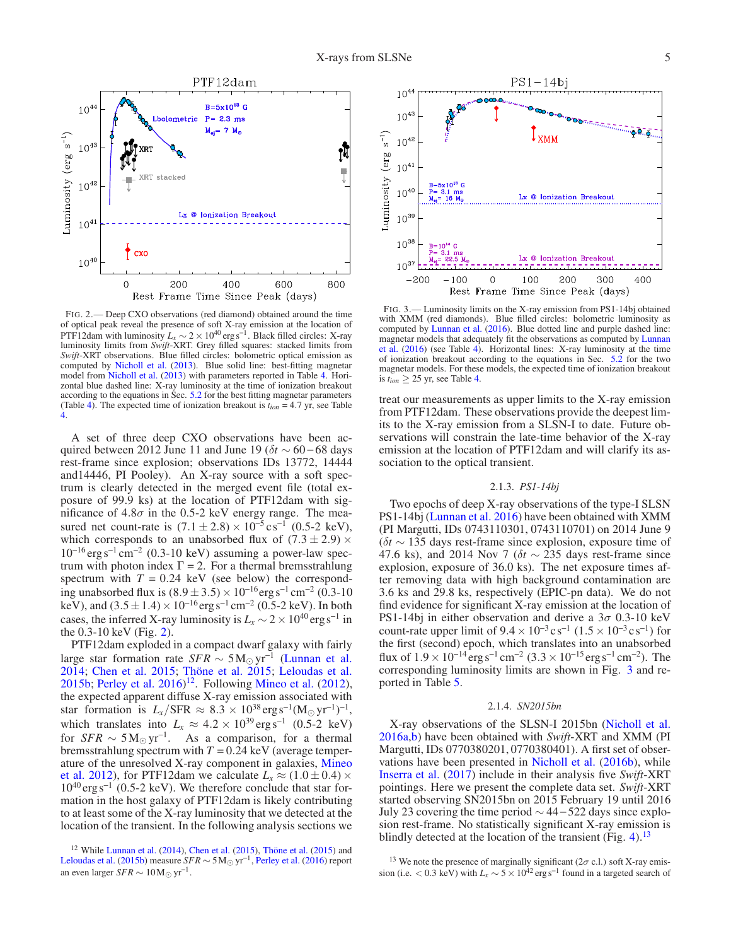

<span id="page-4-0"></span>FIG. 2.— Deep CXO observations (red diamond) obtained around the time of optical peak reveal the presence of soft X-ray emission at the location of PTF12dam with luminosity  $L_x \sim 2 \times 10^{40}$  erg s<sup>-1</sup>. Black filled circles: X-ray luminosity limits from *Swift*-XRT. Grey filled squares: stacked limits from *Swift*-XRT observations. Blue filled circles: bolometric optical emission as computed by [Nicholl et al.](#page-12-3) [\(2013\)](#page-12-3). Blue solid line: best-fitting magnetar model from [Nicholl et al.](#page-12-3) [\(2013](#page-12-3)) with parameters reported in Table [4.](#page-3-12) Horizontal blue dashed line: X-ray luminosity at the time of ionization breakout according to the equations in Sec. [5.2](#page-9-0) for the best fitting magnetar parameters (Table [4\)](#page-3-12). The expected time of ionization breakout is  $t_{ion} = 4.7$  yr, see Table [4.](#page-3-12)

A set of three deep CXO observations have been acquired between 2012 June 11 and June 19 ( $\delta t \sim 60 - 68$  days rest-frame since explosion; observations IDs 13772, 14444 and14446, PI Pooley). An X-ray source with a soft spectrum is clearly detected in the merged event file (total exposure of 99.9 ks) at the location of PTF12dam with significance of 4.8 $\sigma$  in the 0.5-2 keV energy range. The measured net count-rate is  $(7.1 \pm 2.8) \times 10^{-5}$  cs<sup>-1</sup> (0.5-2 keV), which corresponds to an unabsorbed flux of  $(7.3 \pm 2.9) \times$  $10^{-16}$  erg s<sup>-1</sup> cm<sup>-2</sup> (0.3-10 keV) assuming a power-law spectrum with photon index  $\Gamma = 2$ . For a thermal bremsstrahlung spectrum with  $T = 0.24$  keV (see below) the corresponding unabsorbed flux is  $(8.9 \pm 3.5) \times 10^{-16}$ erg s<sup>-1</sup> cm<sup>-2</sup> (0.3-10) keV), and  $(3.5 \pm 1.4) \times 10^{-16}$  erg s<sup>-1</sup> cm<sup>-2</sup> (0.5-2 keV). In both cases, the inferred X-ray luminosity is  $L_x \sim 2 \times 10^{40} \text{erg s}^{-1}$  in the 0.3-10 keV (Fig. [2\)](#page-4-0).

PTF12dam exploded in a compact dwarf galaxy with fairly large star formation rate *SFR* ∼ 5M<sup>⊙</sup> yr−<sup>1</sup> [\(Lunnan et al.](#page-12-7) [2014;](#page-12-7) [Chen et al. 2015](#page-11-23); [Thöne et al. 2015;](#page-12-32) [Leloudas et al.](#page-12-8) [2015b;](#page-12-8) Perley et al.  $2016$ <sup> $12$ </sup>. Following [Mineo et al.](#page-12-33) [\(2012\)](#page-12-33), the expected apparent diffuse X-ray emission associated with star formation is  $L_x/\text{SFR} \approx 8.3 \times 10^{38} \text{erg s}^{-1} (\text{M}_{\odot} \text{ yr}^{-1})^{-1}$ , which translates into  $L_x \approx 4.2 \times 10^{39} \text{ erg s}^{-1}$  (0.5-2 keV) for  $SFR \sim 5 \text{M}_{\odot} \text{ yr}^{-1}$ . As a comparison, for a thermal bremsstrahlung spectrum with  $T = 0.24$  keV (average temperature [of the unresolved X-ray component in galaxies,](#page-12-33) Mineo et al. [2012\)](#page-12-33), for PTF12dam we calculate  $L<sub>x</sub> \approx (1.0 \pm 0.4) \times$ 10<sup>40</sup> erg s<sup>−</sup><sup>1</sup> (0.5-2 keV). We therefore conclude that star formation in the host galaxy of PTF12dam is likely contributing to at least some of the X-ray luminosity that we detected at the location of the transient. In the following analysis sections we



<span id="page-4-2"></span>FIG. 3.— Luminosity limits on the X-ray emission from PS1-14bj obtained with XMM (red diamonds). Blue filled circles: bolometric luminosity as computed by [Lunnan et al.](#page-12-25) [\(2016\)](#page-12-25). Blue dotted line and purple dashed line: mag[netar models that adequately fit the observations as computed by](#page-12-25) Lunnan et al. [\(2016](#page-12-25)) (see Table [4\)](#page-3-12). Horizontal lines: X-ray luminosity at the time of ionization breakout according to the equations in Sec. [5.2](#page-9-0) for the two magnetar models. For these models, the expected time of ionization breakout is  $t_{ion} \geq 25$  yr, see Table [4.](#page-3-12)

treat our measurements as upper limits to the X-ray emission from PTF12dam. These observations provide the deepest limits to the X-ray emission from a SLSN-I to date. Future observations will constrain the late-time behavior of the X-ray emission at the location of PTF12dam and will clarify its association to the optical transient.

# 2.1.3. *PS1-14bj*

Two epochs of deep X-ray observations of the type-I SLSN PS1-14bj [\(Lunnan et al. 2016](#page-12-25)) have been obtained with XMM (PI Margutti, IDs 0743110301, 0743110701) on 2014 June 9 (δ*t* ∼ 135 days rest-frame since explosion, exposure time of 47.6 ks), and 2014 Nov 7 ( $\delta t \sim 235$  days rest-frame since explosion, exposure of 36.0 ks). The net exposure times after removing data with high background contamination are 3.6 ks and 29.8 ks, respectively (EPIC-pn data). We do not find evidence for significant X-ray emission at the location of PS1-14bj in either observation and derive a  $3\sigma$  0.3-10 keV count-rate upper limit of  $9.4 \times 10^{-3}$  cs<sup>-1</sup>  $(1.5 \times 10^{-3}$  cs<sup>-1</sup>) for the first (second) epoch, which translates into an unabsorbed flux of  $1.9 \times 10^{-14}$  erg s<sup>-1</sup> cm<sup>-2</sup> (3.3 × 10<sup>-15</sup> erg s<sup>-1</sup> cm<sup>-2</sup>). The corresponding luminosity limits are shown in Fig. [3](#page-4-2) and reported in Table [5.](#page-14-0)

### 2.1.4. *SN2015bn*

X-ray observations of the SLSN-I 2015bn [\(Nicholl et al.](#page-12-12) [2016a](#page-12-12)[,b\)](#page-12-30) have been obtained with *Swift*-XRT and XMM (PI Margutti, IDs 0770380201, 0770380401). A first set of observations have been presented in [Nicholl et al.](#page-12-30) [\(2016b\)](#page-12-30), while [Inserra et al.](#page-11-9) [\(2017](#page-11-9)) include in their analysis five *Swift*-XRT pointings. Here we present the complete data set. *Swift*-XRT started observing SN2015bn on 2015 February 19 until 2016 July 23 covering the time period ∼ 44−522 days since explosion rest-frame. No statistically significant X-ray emission is blindly detected at the location of the transient (Fig. [4\)](#page-5-2).<sup>[13](#page-4-3)</sup>

<span id="page-4-3"></span><sup>13</sup> We note the presence of marginally significant ( $2\sigma$  c.l.) soft X-ray emission (i.e. < 0.3 keV) with  $L_x \sim 5 \times 10^{42} \text{ erg s}^{-1}$  found in a targeted search of

<span id="page-4-1"></span><sup>12</sup> While [Lunnan et al.](#page-12-7) [\(2014\)](#page-12-7), [Chen et al.](#page-11-23) [\(2015](#page-11-23)), [Thöne et al.](#page-12-32) [\(2015\)](#page-12-32) and [Leloudas et al.](#page-12-8) [\(2015b\)](#page-12-8) measure *SFR*  $\sim$  5M<sub>☉</sub> yr<sup>-1</sup>, [Perley et al.](#page-12-9) [\(2016\)](#page-12-9) report an even larger  $SFR \sim 10 \,\mathrm{M}_{\odot} \,\mathrm{yr}^{-1}$ .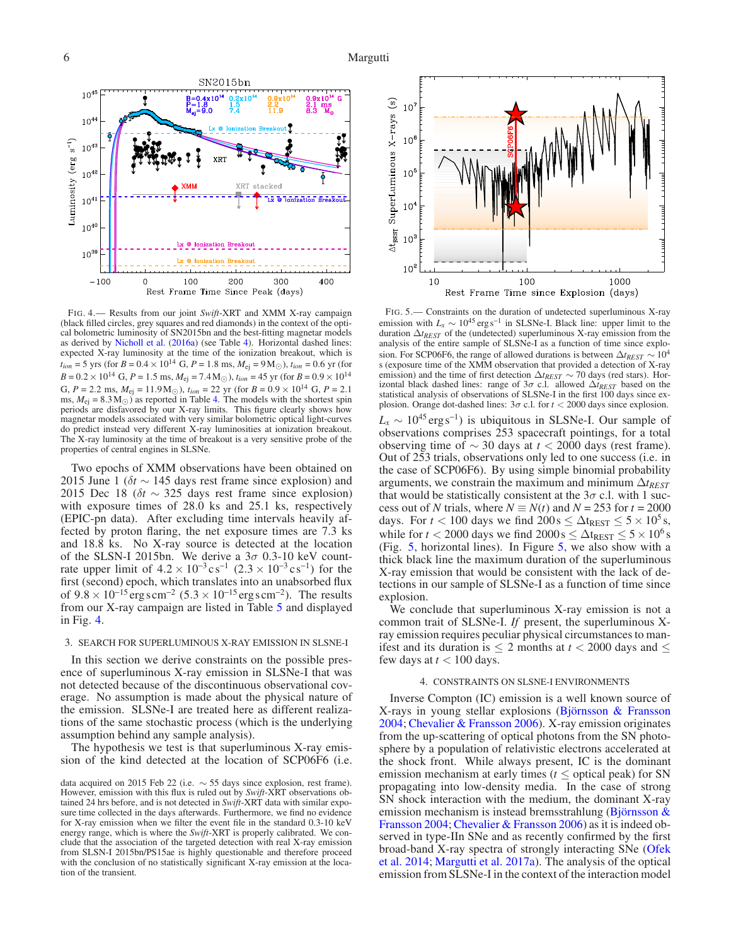

<span id="page-5-2"></span>FIG. 4.— Results from our joint *Swift*-XRT and XMM X-ray campaign (black filled circles, grey squares and red diamonds) in the context of the optical bolometric luminosity of SN2015bn and the best-fitting magnetar models as derived by [Nicholl et al.](#page-12-12) [\(2016a](#page-12-12)) (see Table [4\)](#page-3-12). Horizontal dashed lines: expected X-ray luminosity at the time of the ionization breakout, which is  $t_{ion} = 5$  yrs (for *B* = 0.4 × 10<sup>14</sup> G, *P* = 1.8 ms,  $M_{ej} = 9 M_{\odot}$ ),  $t_{ion} = 0.6$  yr (for  $B = 0.2 \times 10^{14}$  G,  $P = 1.5$  ms,  $M_{\text{ej}} = 7.4$  M<sub>☉</sub>),  $t_{ion} = 45$  yr (for  $B = 0.9 \times 10^{14}$ G,  $P = 2.2$  ms,  $M_{\text{ej}} = 11.9 \text{M}_{\odot}$ ),  $t_{ion} = 22$  yr (for  $B = 0.9 \times 10^{14}$  G,  $P = 2.1$ ms,  $M_{\text{ej}} = 8.3 \,\text{M}_{\odot}$ ) as reported in Table [4.](#page-3-12) The models with the shortest spin periods are disfavored by our X-ray limits. This figure clearly shows how magnetar models associated with very similar bolometric optical light-curves do predict instead very different X-ray luminosities at ionization breakout. The X-ray luminosity at the time of breakout is a very sensitive probe of the properties of central engines in SLSNe.

Two epochs of XMM observations have been obtained on 2015 June 1 ( $\delta t \sim 145$  days rest frame since explosion) and 2015 Dec 18 (δ*t* ∼ 325 days rest frame since explosion) with exposure times of 28.0 ks and 25.1 ks, respectively (EPIC-pn data). After excluding time intervals heavily affected by proton flaring, the net exposure times are 7.3 ks and 18.8 ks. No X-ray source is detected at the location of the SLSN-I 2015bn. We derive a  $3\sigma$  0.3-10 keV countrate upper limit of  $4.2 \times 10^{-3} \text{cs}^{-1}$   $(2.3 \times 10^{-3} \text{cs}^{-1})$  for the first (second) epoch, which translates into an unabsorbed flux of  $9.8 \times 10^{-15}$  erg s cm<sup>-2</sup> (5.3 × 10<sup>-15</sup> erg s cm<sup>-2</sup>). The results from our X-ray campaign are listed in Table [5](#page-14-0) and displayed in Fig. [4.](#page-5-2)

#### <span id="page-5-0"></span>3. SEARCH FOR SUPERLUMINOUS X-RAY EMISSION IN SLSNE-I

In this section we derive constraints on the possible presence of superluminous X-ray emission in SLSNe-I that was not detected because of the discontinuous observational coverage. No assumption is made about the physical nature of the emission. SLSNe-I are treated here as different realizations of the same stochastic process (which is the underlying assumption behind any sample analysis).

The hypothesis we test is that superluminous X-ray emission of the kind detected at the location of SCP06F6 (i.e.



<span id="page-5-3"></span>FIG. 5.— Constraints on the duration of undetected superluminous X-ray emission with  $L_x \sim 10^{45} \text{ erg s}^{-1}$  in SLSNe-I. Black line: upper limit to the duration ∆*tREST* of the (undetected) superluminous X-ray emission from the analysis of the entire sample of SLSNe-I as a function of time since explosion. For SCP06F6, the range of allowed durations is between  $\Delta t_{REST} \sim 10^4$ s (exposure time of the XMM observation that provided a detection of X-ray emission) and the time of first detection ∆*tREST* ∼ 70 days (red stars). Horizontal black dashed lines: range of 3σ c.l. allowed ∆*tREST* based on the statistical analysis of observations of SLSNe-I in the first 100 days since explosion. Orange dot-dashed lines:  $3\sigma$  c.l. for  $t < 2000$  days since explosion.

 $L_x \sim 10^{45} \text{ erg s}^{-1}$ ) is ubiquitous in SLSNe-I. Our sample of observations comprises 253 spacecraft pointings, for a total observing time of ∼ 30 days at *t* < 2000 days (rest frame). Out of 253 trials, observations only led to one success (i.e. in the case of SCP06F6). By using simple binomial probability arguments, we constrain the maximum and minimum  $\Delta t_{REST}$ that would be statistically consistent at the  $3\sigma$  c.l. with 1 success out of *N* trials, where  $N \equiv N(t)$  and  $N = 253$  for  $t = 2000$ days. For *t* < 100 days we find  $200s \le \Delta t_{\text{REST}} \le 5 \times 10^5 s$ , while for *t* < 2000 days we find  $2000 \text{ s} \leq \Delta t_{\text{REST}} \leq 5 \times 10^6 \text{ s}$ (Fig. [5,](#page-5-3) horizontal lines). In Figure [5,](#page-5-3) we also show with a thick black line the maximum duration of the superluminous X-ray emission that would be consistent with the lack of detections in our sample of SLSNe-I as a function of time since explosion.

We conclude that superluminous X-ray emission is not a common trait of SLSNe-I. *If* present, the superluminous Xray emission requires peculiar physical circumstances to manifest and its duration is  $\leq$  2 months at  $t$  < 2000 days and  $\leq$ few days at  $t < 100$  days.

## 4. CONSTRAINTS ON SLSNE-I ENVIRONMENTS

<span id="page-5-1"></span>Inverse Compton (IC) emission is a well known source of X-rays in young stellar explosions [\(Björnsson & Fransson](#page-11-24) [2004;](#page-11-24) [Chevalier & Fransson 2006](#page-11-25)). X-ray emission originates from the up-scattering of optical photons from the SN photosphere by a population of relativistic electrons accelerated at the shock front. While always present, IC is the dominant emission mechanism at early times ( $t \leq$  optical peak) for SN propagating into low-density media. In the case of strong SN shock interaction with the medium, the dominant X-ray emission [mechanism is instead bremsstrahlung \(](#page-11-24)Björnsson & Fransson [2004;](#page-11-24) [Chevalier & Fransson 2006](#page-11-25)) as it is indeed observed in type-IIn SNe and as recently confirmed by the first broa[d-band X-ray spectra of strongly interacting SNe \(](#page-12-34)Ofek et al. [2014;](#page-12-34) [Margutti et al. 2017a](#page-12-22)). The analysis of the optical emission from SLSNe-I in the context of the interaction model

data acquired on 2015 Feb 22 (i.e.  $\sim$  55 days since explosion, rest frame). However, emission with this flux is ruled out by *Swift*-XRT observations obtained 24 hrs before, and is not detected in *Swift*-XRT data with similar exposure time collected in the days afterwards. Furthermore, we find no evidence for X-ray emission when we filter the event file in the standard 0.3-10 keV energy range, which is where the *Swift*-XRT is properly calibrated. We conclude that the association of the targeted detection with real X-ray emission from SLSN-I 2015bn/PS15ae is highly questionable and therefore proceed with the conclusion of no statistically significant X-ray emission at the location of the transient.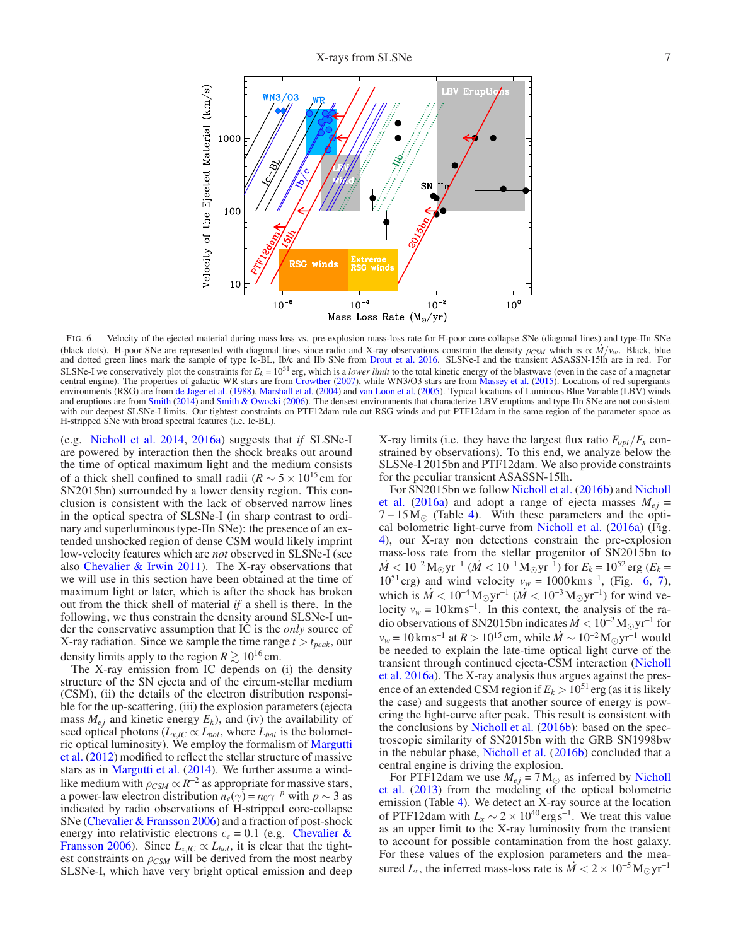

<span id="page-6-0"></span>FIG. 6.— Velocity of the ejected material during mass loss vs. pre-explosion mass-loss rate for H-poor core-collapse SNe (diagonal lines) and type-IIn SNe (black dots). H-poor SNe are represented with diagonal lines since radio and X-ray observations constrain the density  $\rho_{CSM}$  which is  $\propto M/v_w$ . Black, blue and dotted green lines mark the sample of type Ic-BL, Ib/c and IIb SNe from [Drout et al. 2016](#page-11-26). SLSNe-I and the transient ASASSN-15lh are in red. For SLSNe-I we conservatively plot the constraints for  $E_k = 10^{51}$  erg, which is a *lower limit* to the total kinetic energy of the blastwave (even in the case of a magnetar central engine). The properties of galactic WR stars are from [Crowther](#page-11-27) [\(2007\)](#page-11-27), while WN3/O3 stars are from [Massey et al.](#page-12-35) [\(2015](#page-12-35)). Locations of red supergiants environments (RSG) are from [de Jager et al.](#page-11-28) [\(1988\)](#page-11-28), [Marshall et al.](#page-12-36) [\(2004](#page-12-36)) and [van Loon et al.](#page-12-37) [\(2005\)](#page-12-37). Typical locations of Luminous Blue Variable (LBV) winds and eruptions are from [Smith](#page-12-38) [\(2014\)](#page-12-38) and [Smith & Owocki](#page-12-39) [\(2006\)](#page-12-39). The densest environments that characterize LBV eruptions and type-IIn SNe are not consistent with our deepest SLSNe-I limits. Our tightest constraints on PTF12dam rule out RSG winds and put PTF12dam in the same region of the parameter space as H-stripped SNe with broad spectral features (i.e. Ic-BL).

(e.g. [Nicholl et al. 2014](#page-12-40), [2016a](#page-12-12)) suggests that *if* SLSNe-I are powered by interaction then the shock breaks out around the time of optical maximum light and the medium consists of a thick shell confined to small radii ( $R \sim 5 \times 10^{15}$  cm for SN2015bn) surrounded by a lower density region. This conclusion is consistent with the lack of observed narrow lines in the optical spectra of SLSNe-I (in sharp contrast to ordinary and superluminous type-IIn SNe): the presence of an extended unshocked region of dense CSM would likely imprint low-velocity features which are *not* observed in SLSNe-I (see also Chevalier  $\&$  Irwin 2011). The X-ray observations that we will use in this section have been obtained at the time of maximum light or later, which is after the shock has broken out from the thick shell of material *if* a shell is there. In the following, we thus constrain the density around SLSNe-I under the conservative assumption that IC is the *only* source of X-ray radiation. Since we sample the time range  $t > t_{peak}$ , our density limits apply to the region  $R \gtrsim 10^{16}$  cm.

The X-ray emission from IC depends on (i) the density structure of the SN ejecta and of the circum-stellar medium (CSM), (ii) the details of the electron distribution responsible for the up-scattering, (iii) the explosion parameters (ejecta mass  $M_{ej}$  and kinetic energy  $E_k$ ), and (iv) the availability of seed optical photons ( $L_{x,IC} \propto L_{bol}$ , where  $L_{bol}$  is the bolometric o[ptical luminosity\). We employ the formalism of](#page-12-41) Margutti et al. [\(2012](#page-12-41)) modified to reflect the stellar structure of massive stars as in [Margutti et al.](#page-12-42) [\(2014](#page-12-42)). We further assume a windlike medium with  $\rho_{CSM} \propto R^{-2}$  as appropriate for massive stars, a power-law electron distribution  $n_e(\gamma) = n_0 \gamma^{-p}$  with  $p \sim 3$  as indicated by radio observations of H-stripped core-collapse SNe [\(Chevalier & Fransson 2006](#page-11-25)) and a fraction of post-shock energy i[nto relativistic electrons](#page-11-25)  $\epsilon_e = 0.1$  (e.g. Chevalier & Fransson [2006](#page-11-25)). Since  $L_{x,IC} \propto L_{bol}$ , it is clear that the tightest constraints on  $\rho_{CSM}$  will be derived from the most nearby SLSNe-I, which have very bright optical emission and deep

X-ray limits (i.e. they have the largest flux ratio  $F_{opt}/F_x$  constrained by observations). To this end, we analyze below the SLSNe-I 2015bn and PTF12dam. We also provide constraints for the peculiar transient ASASSN-15lh.

Fo[r SN2015bn we follow](#page-12-12) [Nicholl et al.](#page-12-30) [\(2016b](#page-12-30)) and Nicholl et al. [\(2016a](#page-12-12)) and adopt a range of ejecta masses  $M_{ej}$  =  $7 - 15 M_{\odot}$  (Table [4\)](#page-3-12). With these parameters and the optical bolometric light-curve from [Nicholl et al.](#page-12-12) [\(2016a](#page-12-12)) (Fig. [4\)](#page-5-2), our X-ray non detections constrain the pre-explosion mass-loss rate from the stellar progenitor of SN2015bn to  $\dot{M}$  < 10<sup>-2</sup> M<sub>☉</sub>yr<sup>-1</sup> ( $\dot{M}$  < 10<sup>-1</sup> M<sub>☉</sub>yr<sup>-1</sup>) for  $E_k$  = 10<sup>52</sup> erg ( $E_k$  =  $10^{51}$  erg) and wind velocity  $v_w = 1000 \text{km s}^{-1}$ , (Fig. [6,](#page-6-0) [7\)](#page-7-2), which is  $\dot{M} < 10^{-4} M_{\odot} \text{yr}^{-1}$  ( $\dot{M} < 10^{-3} M_{\odot} \text{yr}^{-1}$ ) for wind velocity  $v_w = 10 \text{ km s}^{-1}$ . In this context, the analysis of the radio observations of SN2015bn indicates  $\dot{M} < 10^{-2} M_{\odot}yr^{-1}$  for  $v_w = 10 \text{ km s}^{-1}$  at  $R > 10^{15}$  cm, while  $\dot{M} \sim 10^{-2} \text{ M}_{\odot} \text{yr}^{-1}$  would be needed to explain the late-time optical light curve of the tran[sient through continued ejecta-CSM interaction \(](#page-12-12)Nicholl et al. [2016a\)](#page-12-12). The X-ray analysis thus argues against the presence of an extended CSM region if  $E_k > 10^{51}$  erg (as it is likely the case) and suggests that another source of energy is powering the light-curve after peak. This result is consistent with the conclusions by [Nicholl et al.](#page-12-30) [\(2016b\)](#page-12-30): based on the spectroscopic similarity of SN2015bn with the GRB SN1998bw in the nebular phase, [Nicholl et al.](#page-12-30) [\(2016b](#page-12-30)) concluded that a central engine is driving the explosion.

Fo[r PTF12dam we use](#page-12-3)  $M_{ej} = 7 M_{\odot}$  as inferred by Nicholl et al. [\(2013](#page-12-3)) from the modeling of the optical bolometric emission (Table [4\)](#page-3-12). We detect an X-ray source at the location of PTF12dam with  $L_x \sim 2 \times 10^{40} \text{ erg s}^{-1}$ . We treat this value as an upper limit to the X-ray luminosity from the transient to account for possible contamination from the host galaxy. For these values of the explosion parameters and the measured  $L_x$ , the inferred mass-loss rate is  $\dot{M} < 2 \times 10^{-5}$  M<sub>☉</sub>yr<sup>-1</sup>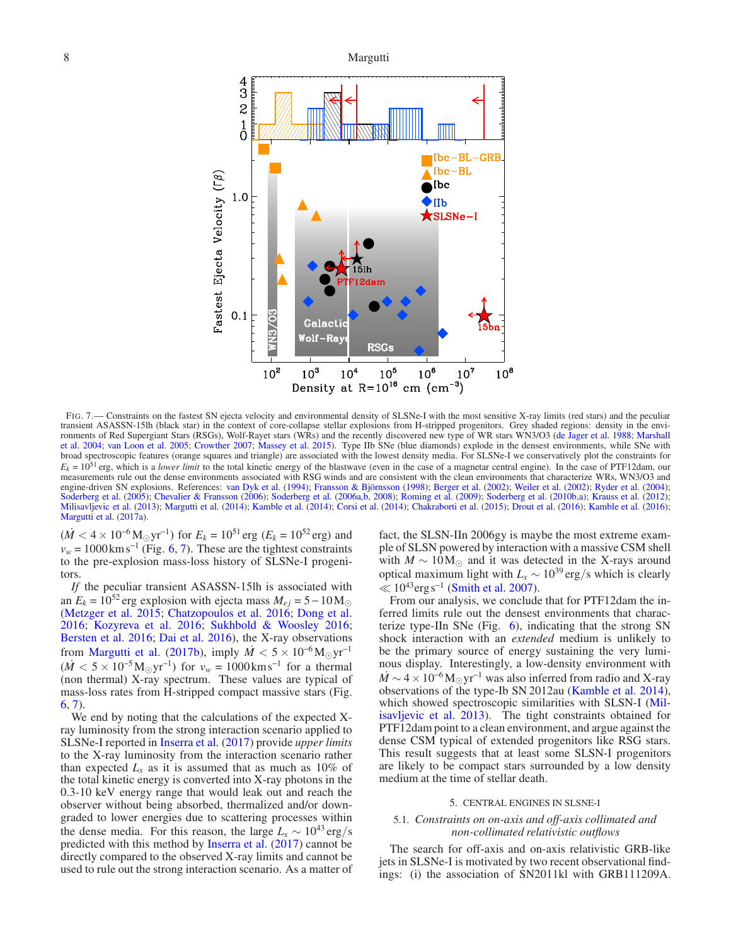

<span id="page-7-2"></span>FIG. 7.— Constraints on the fastest SN ejecta velocity and environmental density of SLSNe-I with the most sensitive X-ray limits (red stars) and the peculiar transient ASASSN-15lh (black star) in the context of core-collapse stellar explosions from H-stripped progenitors. Grey shaded regions: density in the environ[ments of Red Supergiant Stars \(RSGs\), Wolf-Rayet stars \(WRs\) and the recently discovered new type of WR stars WN3/O3](#page-12-36) [\(de Jager et al. 1988](#page-11-28)[;](#page-12-36) Marshall et al. [2004](#page-12-36); [van Loon et al. 2005](#page-12-37); [Crowther 2007](#page-11-27); [Massey et al. 2015\)](#page-12-35). Type IIb SNe (blue diamonds) explode in the densest environments, while SNe with broad spectroscopic features (orange squares and triangle) are associated with the lowest density media. For SLSNe-I we conservatively plot the constraints for  $E_k = 10^{51}$  erg, which is a *lower limit* to the total kinetic energy of the blastwave (even in the case of a magnetar central engine). In the case of PTF12dam, our measurements rule out the dense environments associated with RSG winds and are consistent with the clean environments that characterize WRs, WN3/O3 and engine-driven SN explosions. References: [van Dyk et al.](#page-12-43) [\(1994\)](#page-12-43); [Fransson & Björnsson](#page-11-29) [\(1998](#page-11-29)); [Berger et al.](#page-11-30) [\(2002\)](#page-11-30); [Weiler et al.](#page-12-44) [\(2002](#page-12-44)); [Ryder et al.](#page-12-45) [\(2004\)](#page-12-45); [Soderberg et al.](#page-12-46) [\(2005](#page-12-46)); [Chevalier & Fransson](#page-11-25) [\(2006](#page-11-25)); [Soderberg et al.](#page-12-47) [\(2006a](#page-12-47)[,b,](#page-12-48) [2008\)](#page-12-49); [Roming et al.](#page-12-50) [\(2009](#page-12-50)); [Soderberg et al.](#page-12-51) [\(2010b](#page-12-51)[,a\)](#page-12-52); [Krauss et al.](#page-12-53) [\(2012\)](#page-12-53); [Milisavljevic et al.](#page-12-11) [\(2013\)](#page-12-11); [Margutti et al.](#page-12-42) [\(2014](#page-12-42)); [Kamble et al.](#page-11-31) [\(2014](#page-11-31)); [Corsi et al.](#page-11-32) [\(2014](#page-11-32)); [Chakraborti et al.](#page-11-33) [\(2015\)](#page-11-33); [Drout et al.](#page-11-26) [\(2016](#page-11-26)); [Kamble et al.](#page-11-34) [\(2016\)](#page-11-34); [Margutti et al.](#page-12-22) [\(2017a\)](#page-12-22).

 $(M < 4 \times 10^{-6}$  M<sub>☉</sub>yr<sup>-1</sup>) for  $E_k = 10^{51}$  erg ( $E_k = 10^{52}$  erg) and  $v_w = 1000 \text{ km s}^{-1}$  (Fig. [6,](#page-6-0) [7\)](#page-7-2). These are the tightest constraints to the pre-explosion mass-loss history of SLSNe-I progenitors.

*If* the peculiar transient ASASSN-15lh is associated with an  $E_k = 10^{52}$  erg explosion with ejecta mass  $M_{ej} = 5 - 10 M_{\odot}$ [\(Metzger et al. 2015;](#page-12-10) [Chatzopoulos et al. 2016](#page-11-11); [Dong et al.](#page-11-10) [2016;](#page-11-10) [Kozyreva et al. 2016;](#page-12-21) [Sukhbold & Woosley 2016;](#page-12-20) [Bersten et al. 2016;](#page-11-13) [Dai et al. 2016](#page-11-35)), the X-ray observations from [Margutti et al.](#page-12-17) [\(2017b](#page-12-17)), imply  $\dot{M} < 5 \times 10^{-6} M_{\odot} \text{yr}^{-1}$  $(M < 5 \times 10^{-5} \text{M}_{\odot} \text{yr}^{-1})$  for  $v_w = 1000 \text{km s}^{-1}$  for a thermal (non thermal) X-ray spectrum. These values are typical of mass-loss rates from H-stripped compact massive stars (Fig. [6,](#page-6-0) [7\)](#page-7-2).

We end by noting that the calculations of the expected Xray luminosity from the strong interaction scenario applied to SLSNe-I reported in [Inserra et al.](#page-11-9) [\(2017](#page-11-9)) provide *upper limits* to the X-ray luminosity from the interaction scenario rather than expected  $L<sub>x</sub>$  as it is assumed that as much as 10% of the total kinetic energy is converted into X-ray photons in the 0.3-10 keV energy range that would leak out and reach the observer without being absorbed, thermalized and/or downgraded to lower energies due to scattering processes within the dense media. For this reason, the large  $L<sub>x</sub> \sim 10^{43} \text{ erg/s}$ predicted with this method by [Inserra et al.](#page-11-9) [\(2017](#page-11-9)) cannot be directly compared to the observed X-ray limits and cannot be used to rule out the strong interaction scenario. As a matter of fact, the SLSN-IIn 2006gy is maybe the most extreme example of SLSN powered by interaction with a massive CSM shell with  $M \sim 10 M_{\odot}$  and it was detected in the X-rays around optical maximum light with  $L_x \sim 10^{39} \text{ erg/s}$  which is clearly  $\leq 10^{43}$ erg s<sup>-1</sup> [\(Smith et al. 2007\)](#page-12-54).

From our analysis, we conclude that for PTF12dam the inferred limits rule out the densest environments that characterize type-IIn SNe (Fig. [6\)](#page-6-0), indicating that the strong SN shock interaction with an *extended* medium is unlikely to be the primary source of energy sustaining the very luminous display. Interestingly, a low-density environment with  $\dot{M}$  ~ 4 × 10<sup>-6</sup>M<sub>☉</sub> yr<sup>-1</sup> was also inferred from radio and X-ray observations of the type-Ib SN 2012au [\(Kamble et al. 2014](#page-11-31)), which showed [spectroscopic similarities with SLSN-I \(](#page-12-11)Milisavljevic et al. [2013](#page-12-11)). The tight constraints obtained for PTF12dam point to a clean environment, and argue against the dense CSM typical of extended progenitors like RSG stars. This result suggests that at least some SLSN-I progenitors are likely to be compact stars surrounded by a low density medium at the time of stellar death.

#### 5. CENTRAL ENGINES IN SLSNE-I

# <span id="page-7-1"></span><span id="page-7-0"></span>5.1. *Constraints on on-axis and off-axis collimated and non-collimated relativistic outflows*

The search for off-axis and on-axis relativistic GRB-like jets in SLSNe-I is motivated by two recent observational findings: (i) the association of SN2011kl with GRB111209A.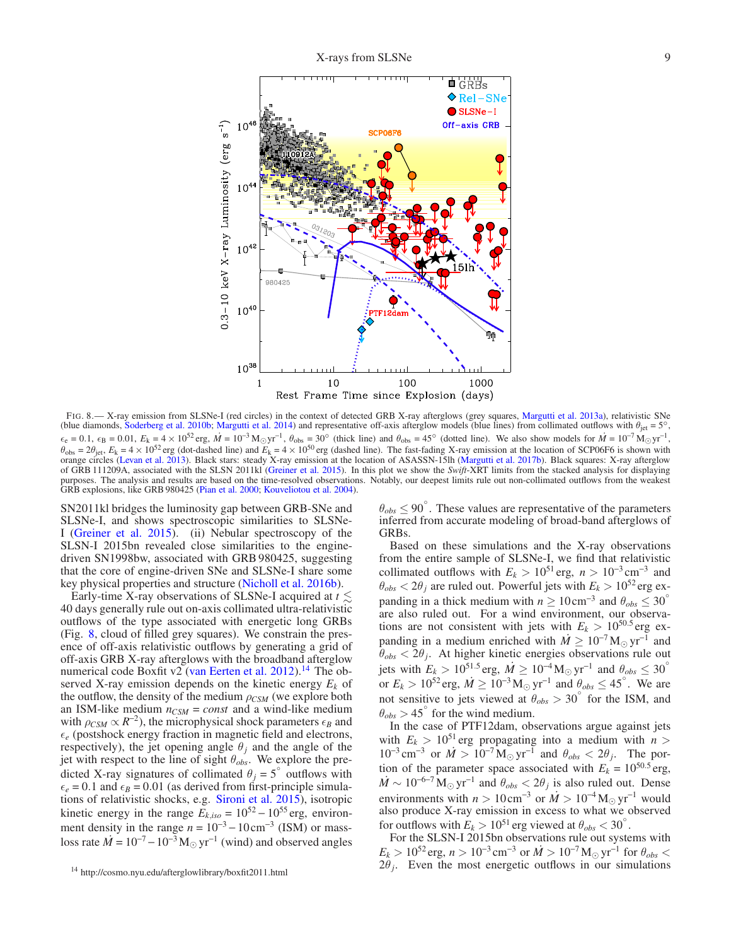

<span id="page-8-0"></span>FIG. 8.— X-ray emission from SLSNe-I (red circles) in the context of detected GRB X-ray afterglows (grey squares, [Margutti et al. 2013a](#page-12-23)), relativistic SNe (blue diamonds, [Soderberg et al. 2010b](#page-12-51); [Margutti et al. 2014](#page-12-42)) and representative off-axis afterglow models (blue lines) from collimated outflows with  $\theta_{\rm jet} = 5^\circ$ ,  $\epsilon_{\rm e} = 0.1$ ,  $\epsilon_{\rm B} = 0.01$ ,  $E_{\rm k} = 4 \times 10^{52}$  erg,  $\dot{M} = 10^{-3}$  M<sub>☉</sub>yr<sup>-1</sup>,  $\theta_{\rm obs} = 30^{\circ}$  (thick line) and  $\theta_{\rm obs} = 45^{\circ}$  (dotted line). We also show models for  $\dot{M} = 10^{-7}$  M<sub>☉</sub>yr<sup>-1</sup>,  $\theta_{\rm obs} = 2\theta_{\rm jet}$ ,  $E_k = 4 \times 10^{52}$  erg (dot-dashed line) and  $E_k = 4 \times 10^{50}$  erg (dashed line). The fast-fading X-ray emission at the location of SCP06F6 is shown with orange circles [\(Levan et al. 2013\)](#page-12-15). Black stars: steady X-ray emission at the location of ASASSN-15lh [\(Margutti et al. 2017b](#page-12-17)). Black squares: X-ray afterglow of GRB 111209A, associated with the SLSN 2011kl [\(Greiner et al. 2015\)](#page-11-7). In this plot we show the *Swift*-XRT limits from the stacked analysis for displaying purposes. The analysis and results are based on the time-resolved observations. Notably, our deepest limits rule out non-collimated outflows from the weakest GRB explosions, like GRB 980425 [\(Pian et al. 2000;](#page-12-55) [Kouveliotou et al. 2004\)](#page-12-56).

SN2011kl bridges the luminosity gap between GRB-SNe and SLSNe-I, and shows spectroscopic similarities to SLSNe-I [\(Greiner et al. 2015](#page-11-7)). (ii) Nebular spectroscopy of the SLSN-I 2015bn revealed close similarities to the enginedriven SN1998bw, associated with GRB 980425, suggesting that the core of engine-driven SNe and SLSNe-I share some key physical properties and structure [\(Nicholl et al. 2016b](#page-12-30)).

Early-time X-ray observations of SLSNe-I acquired at  $t \lesssim$ 40 days generally rule out on-axis collimated ultra-relativistic outflows of the type associated with energetic long GRBs (Fig. [8,](#page-8-0) cloud of filled grey squares). We constrain the presence of off-axis relativistic outflows by generating a grid of off-axis GRB X-ray afterglows with the broadband afterglow numerical code Boxfit v2 [\(van Eerten et al. 2012\)](#page-12-57).<sup>[14](#page-8-1)</sup> The observed X-ray emission depends on the kinetic energy *E<sup>k</sup>* of the outflow, the density of the medium  $\rho_{CSM}$  (we explore both an ISM-like medium  $n_{CSM} = const$  and a wind-like medium with  $\rho_{CSM} \propto R^{-2}$ ), the microphysical shock parameters  $\epsilon_B$  and  $\epsilon_e$  (postshock energy fraction in magnetic field and electrons, respectively), the jet opening angle  $\theta_j$  and the angle of the jet with respect to the line of sight  $\theta_{obs}$ . We explore the predicted X-ray signatures of collimated  $\theta_j = 5^\circ$  outflows with  $\epsilon_e = 0.1$  and  $\epsilon_B = 0.01$  (as derived from first-principle simulations of relativistic shocks, e.g. [Sironi et al. 2015\)](#page-12-58), isotropic kinetic energy in the range  $E_{k,iso} = 10^{52} - 10^{55}$  erg, environment density in the range  $n = 10^{-3} - 10 \text{ cm}^{-3}$  (ISM) or massloss rate  $\dot{M} = 10^{-7} - 10^{-3} M_{\odot} yr^{-1}$  (wind) and observed angles

 $\theta_{obs} \le 90^{\circ}$ . These values are representative of the parameters inferred from accurate modeling of broad-band afterglows of GRBs.

Based on these simulations and the X-ray observations from the entire sample of SLSNe-I, we find that relativistic collimated outflows with  $E_k > 10^{51}$  erg,  $n > 10^{-3}$  cm<sup>-3</sup> and  $\theta_{obs} < 2\theta_j$  are ruled out. Powerful jets with  $E_k > 10^{52}$  erg expanding in a thick medium with  $n \ge 10 \text{ cm}^{-3}$  and  $\theta_{obs} \le 30^\circ$ are also ruled out. For a wind environment, our observations are not consistent with jets with  $E_k > 10^{50.5}$  erg expanding in a medium enriched with  $\dot{M} \geq 10^{-7} M_{\odot} yr^{-1}$  and  $\theta_{obs} < 2\theta_j$ . At higher kinetic energies observations rule out jets with  $E_k > 10^{51.5}$  erg,  $\dot{M} \ge 10^{-4}$  M<sub>☉</sub> yr<sup>-1</sup> and  $\theta_{obs} \le 30°$ or  $E_k > 10^{52}$  erg,  $\dot{M} \ge 10^{-3} M_{\odot}$  yr<sup>-1</sup> and  $\theta_{obs} \le 45^{\circ}$ . We are not sensitive to jets viewed at  $\theta_{obs} > 30^{\circ}$  for the ISM, and  $\theta_{obs}$  > 45 $\degree$  for the wind medium.

In the case of PTF12dam, observations argue against jets with  $E_k > 10^{51}$  erg propagating into a medium with  $n >$  $10^{-3} \text{ cm}^{-3}$  or  $\dot{M} > 10^{-7} \text{ M}_{\odot} \text{ yr}^{-1}$  and  $\theta_{obs} < 2\theta_j$ . The portion of the parameter space associated with  $E_k = 10^{50.5}$  erg,  $\dot{M} \sim 10^{-6-7} M_{\odot} \text{ yr}^{-1}$  and  $\theta_{obs} < 2\theta_j$  is also ruled out. Dense environments with  $n > 10 \text{ cm}^{-3}$  or  $\dot{M} > 10^{-4} \text{ M}_{\odot} \text{ yr}^{-1}$  would also produce X-ray emission in excess to what we observed for outflows with  $E_k > 10^{51}$  erg viewed at  $\theta_{obs} < 30^\circ$ .

For the SLSN-I 2015bn observations rule out systems with  $E_k > 10^{52}$  erg,  $n > 10^{-3}$  cm<sup>-3</sup> or  $\dot{M} > 10^{-7}$  M<sub>☉</sub> yr<sup>-1</sup> for  $\theta_{obs}$  $2\theta_j$ . Even the most energetic outflows in our simulations

<span id="page-8-1"></span><sup>14</sup> http://cosmo.nyu.edu/afterglowlibrary/boxfit2011.html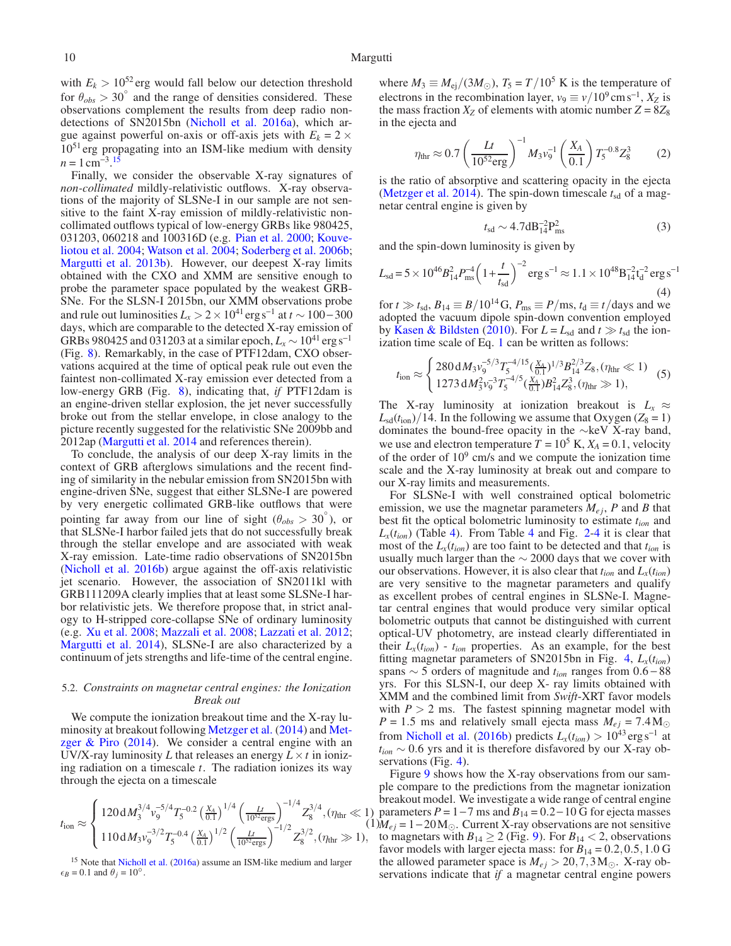with  $E_k > 10^{52}$  erg would fall below our detection threshold for  $\theta_{obs} > 30^{\circ}$  and the range of densities considered. These observations complement the results from deep radio nondetections of SN2015bn [\(Nicholl et al. 2016a\)](#page-12-12), which argue against powerful on-axis or off-axis jets with  $E_k = 2 \times$  $10<sup>51</sup>$  erg propagating into an ISM-like medium with density  $n = 1 \text{ cm}^{-3}$ .<sup>[15](#page-9-1)</sup>

Finally, we consider the observable X-ray signatures of *non-collimated* mildly-relativistic outflows. X-ray observations of the majority of SLSNe-I in our sample are not sensitive to the faint X-ray emission of mildly-relativistic noncollimated outflows typical of low-energy GRBs like 980425, 031203, 06[0218 and 100316D \(e.g.](#page-12-56) [Pian et al. 2000](#page-12-55); Kouveliotou et al. [2004](#page-12-56); [Watson et al. 2004](#page-12-59); [Soderberg et al. 2006b;](#page-12-48) [Margutti et al. 2013b](#page-12-60)). However, our deepest X-ray limits obtained with the CXO and XMM are sensitive enough to probe the parameter space populated by the weakest GRB-SNe. For the SLSN-I 2015bn, our XMM observations probe and rule out luminosities  $L_x > 2 \times 10^{41}$  erg s<sup>-1</sup> at  $t \sim 100-300$ days, which are comparable to the detected X-ray emission of GRBs 980425 and 031203 at a similar epoch,  $L_x \sim 10^{41}$  erg s<sup>-1</sup> (Fig. [8\)](#page-8-0). Remarkably, in the case of PTF12dam, CXO observations acquired at the time of optical peak rule out even the faintest non-collimated X-ray emission ever detected from a low-energy GRB (Fig. [8\)](#page-8-0), indicating that, *if* PTF12dam is an engine-driven stellar explosion, the jet never successfully broke out from the stellar envelope, in close analogy to the picture recently suggested for the relativistic SNe 2009bb and 2012ap [\(Margutti et al. 2014](#page-12-42) and references therein).

To conclude, the analysis of our deep X-ray limits in the context of GRB afterglows simulations and the recent finding of similarity in the nebular emission from SN2015bn with engine-driven SNe, suggest that either SLSNe-I are powered by very energetic collimated GRB-like outflows that were pointing far away from our line of sight ( $\theta_{obs} > 30^{\circ}$ ), or that SLSNe-I harbor failed jets that do not successfully break through the stellar envelope and are associated with weak X-ray emission. Late-time radio observations of SN2015bn [\(Nicholl et al. 2016b\)](#page-12-30) argue against the off-axis relativistic jet scenario. However, the association of SN2011kl with GRB111209A clearly implies that at least some SLSNe-I harbor relativistic jets. We therefore propose that, in strict analogy to H-stripped core-collapse SNe of ordinary luminosity (e.g. [Xu et al. 2008;](#page-12-61) [Mazzali et al. 2008;](#page-12-62) [Lazzati et al. 2012;](#page-12-63) [Margutti et al. 2014](#page-12-42)), SLSNe-I are also characterized by a continuum of jets strengths and life-time of the central engine.

# <span id="page-9-0"></span>5.2. *Constraints on magnetar central engines: the Ionization Break out*

We compute the ionization breakout time and the X-ray luminosity at [breakout following](#page-12-64) [Metzger et al.](#page-12-16) [\(2014](#page-12-16)) and Metzger  $& Piro (2014)$  $& Piro (2014)$  $& Piro (2014)$ . We consider a central engine with an UV/X-ray luminosity *L* that releases an energy  $L \times t$  in ionizing radiation on a timescale *t*. The radiation ionizes its way through the ejecta on a timescale

<span id="page-9-2"></span>
$$
t_{\rm ion} \approx \begin{cases} 120 \, \mathrm{d} M_3^{3/4} v_9^{-5/4} T_5^{-0.2} \left( \frac{X_A}{0.1} \right)^{1/4} \left( \frac{Lt}{10^{52} \text{ergs}} \right)^{-1/4} Z_8^{3/4}, (\eta_{\rm thr} \ll 1) \\ 110 \, \mathrm{d} M_3 v_9^{-3/2} T_5^{-0.4} \left( \frac{X_A}{0.1} \right)^{1/2} \left( \frac{Lt}{10^{52} \text{ergs}} \right)^{-1/2} Z_8^{3/2}, (\eta_{\rm thr} \gg 1), \end{cases}
$$

<span id="page-9-1"></span><sup>15</sup> Note that [Nicholl et al.](#page-12-12) [\(2016a\)](#page-12-12) assume an ISM-like medium and larger  $\epsilon_B = 0.1$  and  $\theta_j = 10^\circ$ .

where  $M_3 \equiv M_{\text{ej}}/(3M_{\odot})$ ,  $T_5 = T/10^5$  K is the temperature of electrons in the recombination layer,  $v_9 \equiv v/10^9 \text{ cm s}^{-1}$ ,  $X_Z$  is the mass fraction  $X_Z$  of elements with atomic number  $Z = 8Z_8$ in the ejecta and

$$
\eta_{\text{thr}} \approx 0.7 \left( \frac{Lt}{10^{52} \text{erg}} \right)^{-1} M_3 v_9^{-1} \left( \frac{X_A}{0.1} \right) T_5^{-0.8} Z_8^3 \tag{2}
$$

is the ratio of absorptive and scattering opacity in the ejecta [\(Metzger et al. 2014](#page-12-16)). The spin-down timescale  $t_{sd}$  of a magnetar central engine is given by

$$
t_{\rm sd} \sim 4.7 \, \text{dB}_{14}^{-2} \, \text{P}_{\rm ms}^2 \tag{3}
$$

and the spin-down luminosity is given by

$$
L_{\rm sd} = 5 \times 10^{46} B_{14}^2 P_{\rm ms}^{-4} \left( 1 + \frac{t}{t_{\rm sd}} \right)^{-2} \rm erg \, s^{-1} \approx 1.1 \times 10^{48} B_{14}^{-2} t_d^{-2} \rm erg \, s^{-1}
$$
\n
$$
\tag{4}
$$

for  $t \gg t_{sd}$ ,  $B_{14} \equiv B/10^{14}$  G,  $P_{ms} \equiv P/ms$ ,  $t_d \equiv t/day$  and we adopted the vacuum dipole spin-down convention employed by [Kasen & Bildsten](#page-11-4) [\(2010\)](#page-11-4). For  $L = L_{sd}$  and  $t \gg t_{sd}$  the ionization time scale of Eq. [1](#page-9-2) can be written as follows:

$$
t_{\rm ion} \approx \begin{cases} 280 \, \mathrm{d} M_3 v_9^{-5/3} T_5^{-4/15} \left( \frac{X_4}{0.1} \right)^{1/3} B_{14}^{2/3} Z_8, (\eta_{\rm thr} \ll 1) \\ 1273 \, \mathrm{d} M_3^2 v_9^{-3} T_5^{-4/5} \left( \frac{X_4}{0.1} \right) B_{14}^2 Z_8^3, (\eta_{\rm thr} \gg 1), \end{cases} \tag{5}
$$

The X-ray luminosity at ionization breakout is  $L_x \approx$  $L_{sd}(t_{ion})/14$ . In the following we assume that Oxygen ( $Z_8 = 1$ ) dominates the bound-free opacity in the ∼keV X-ray band, we use and electron temperature  $T = 10^5$  K,  $X_A = 0.1$ , velocity of the order of  $10<sup>9</sup>$  cm/s and we compute the ionization time scale and the X-ray luminosity at break out and compare to our X-ray limits and measurements.

For SLSNe-I with well constrained optical bolometric emission, we use the magnetar parameters  $M_{e,i}$ , P and B that best fit the optical bolometric luminosity to estimate *tion* and  $L_x(t_{ion})$  (Table [4\)](#page-3-12). From Table [4](#page-5-2) and Fig. [2-](#page-4-0)4 it is clear that most of the  $L_x(t_{ion})$  are too faint to be detected and that  $t_{ion}$  is usually much larger than the  $\sim$  2000 days that we cover with our observations. However, it is also clear that  $t_{ion}$  and  $L_x(t_{ion})$ are very sensitive to the magnetar parameters and qualify as excellent probes of central engines in SLSNe-I. Magnetar central engines that would produce very similar optical bolometric outputs that cannot be distinguished with current optical-UV photometry, are instead clearly differentiated in their  $L_x(t_{ion})$  -  $t_{ion}$  properties. As an example, for the best fitting magnetar parameters of SN2015bn in Fig. [4,](#page-5-2) *Lx*(*tion*) spans ∼ 5 orders of magnitude and *tion* ranges from 0.6 − 88 yrs. For this SLSN-I, our deep X- ray limits obtained with XMM and the combined limit from *Swift*-XRT favor models with  $P > 2$  ms. The fastest spinning magnetar model with  $P = 1.5$  ms and relatively small ejecta mass  $M_{ej} = 7.4 M_{\odot}$ from [Nicholl et al.](#page-12-30) [\(2016b\)](#page-12-30) predicts  $L_x(t_{ion}) > 10^{43} \text{ erg s}^{-1}$  at *tion* ∼ 0.6 yrs and it is therefore disfavored by our X-ray observations (Fig. [4\)](#page-5-2).

 $(1)M_{ej} = 1 - 20 M_{\odot}$ . Current X-ray observations are not sensitive Figure [9](#page-10-1) shows how the X-ray observations from our sample compare to the predictions from the magnetar ionization breakout model. We investigate a wide range of central engine ) parameters  $P = 1 - 7$  ms and  $B_{14} = 0.2 - 10$  G for ejecta masses to magnetars with  $B_{14} \geq 2$  (Fig. [9\)](#page-10-1). For  $B_{14} < 2$ , observations favor models with larger ejecta mass: for  $B_{14} = 0.2, 0.5, 1.0$  G the allowed parameter space is  $M_{ej} > 20, 7, 3 M_{\odot}$ . X-ray observations indicate that *if* a magnetar central engine powers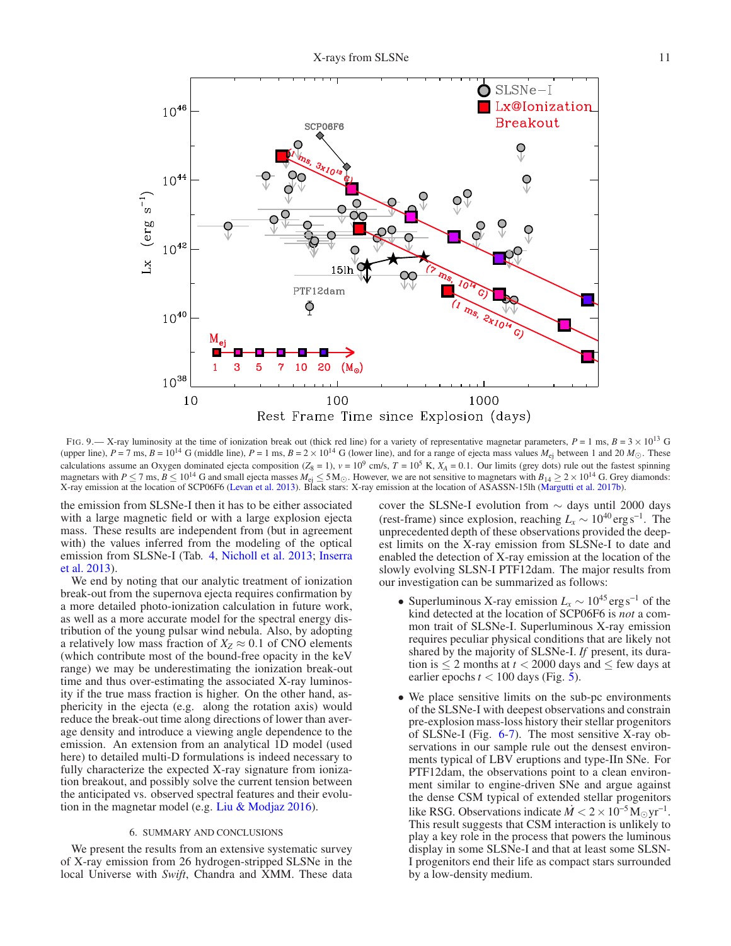

<span id="page-10-1"></span>FIG. 9.— X-ray luminosity at the time of ionization break out (thick red line) for a variety of representative magnetar parameters,  $P = 1$  ms,  $B = 3 \times 10^{13}$  G (upper line),  $P = 7$  ms,  $B = 10^{14}$  G (middle line),  $P = 1$  ms,  $B = 2 \times 10^{14}$  G (lower line), and for a range of ejecta mass values  $M_{ej}$  between 1 and 20  $M_{\odot}$ . These calculations assume an Oxygen dominated ejecta composition  $(Z_8 = 1)$ ,  $v = 10^9$  cm/s,  $T = 10^5$  K,  $X_A = 0.1$ . Our limits (grey dots) rule out the fastest spinning magnetars with  $P \le 7$  ms,  $B \le 10^{14}$  G and small ejecta masses  $M_{ej} \le 5 M_{\odot}$ . However, we are not sensitive to magnetars with  $B_{14} \ge 2 \times 10^{14}$  G. Grey diamonds: X-ray emission at the location of SCP06F6 [\(Levan et al. 2013](#page-12-15)). Black stars: X-ray emission at the location of ASASSN-15lh [\(Margutti et al. 2017b](#page-12-17)).

the emission from SLSNe-I then it has to be either associated with a large magnetic field or with a large explosion ejecta mass. These results are independent from (but in agreement with) the values inferred from the modeling of the optical emis[sion from SLSNe-I \(Tab.](#page-11-17) [4,](#page-3-12) [Nicholl et al. 2013;](#page-12-3) Inserra et al. [2013\)](#page-11-17).

We end by noting that our analytic treatment of ionization break-out from the supernova ejecta requires confirmation by a more detailed photo-ionization calculation in future work, as well as a more accurate model for the spectral energy distribution of the young pulsar wind nebula. Also, by adopting a relatively low mass fraction of  $X_Z \approx 0.1$  of CNO elements (which contribute most of the bound-free opacity in the keV range) we may be underestimating the ionization break-out time and thus over-estimating the associated X-ray luminosity if the true mass fraction is higher. On the other hand, asphericity in the ejecta (e.g. along the rotation axis) would reduce the break-out time along directions of lower than average density and introduce a viewing angle dependence to the emission. An extension from an analytical 1D model (used here) to detailed multi-D formulations is indeed necessary to fully characterize the expected X-ray signature from ionization breakout, and possibly solve the current tension between the anticipated vs. observed spectral features and their evolution in the magnetar model (e.g. Liu  $&$  Modjaz 2016).

#### 6. SUMMARY AND CONCLUSIONS

<span id="page-10-0"></span>We present the results from an extensive systematic survey of X-ray emission from 26 hydrogen-stripped SLSNe in the local Universe with *Swift*, Chandra and XMM. These data cover the SLSNe-I evolution from  $\sim$  days until 2000 days (rest-frame) since explosion, reaching  $L_x \sim 10^{40} \text{ erg s}^{-1}$ . The unprecedented depth of these observations provided the deepest limits on the X-ray emission from SLSNe-I to date and enabled the detection of X-ray emission at the location of the slowly evolving SLSN-I PTF12dam. The major results from our investigation can be summarized as follows:

- Superluminous X-ray emission  $L_x \sim 10^{45} \text{erg s}^{-1}$  of the kind detected at the location of SCP06F6 is *not* a common trait of SLSNe-I. Superluminous X-ray emission requires peculiar physical conditions that are likely not shared by the majority of SLSNe-I. *If* present, its duration is  $\leq 2$  months at  $t < 2000$  days and  $\leq$  few days at earlier epochs  $t < 100$  days (Fig. [5\)](#page-5-3).
- We place sensitive limits on the sub-pc environments of the SLSNe-I with deepest observations and constrain pre-explosion mass-loss history their stellar progenitors of SLSNe-I (Fig. [6](#page-6-0)[-7\)](#page-7-2). The most sensitive X-ray observations in our sample rule out the densest environments typical of LBV eruptions and type-IIn SNe. For PTF12dam, the observations point to a clean environment similar to engine-driven SNe and argue against the dense CSM typical of extended stellar progenitors like RSG. Observations indicate  $\dot{M} < 2 \times 10^{-5} \text{M}_{\odot} \text{yr}^{-1}$ . This result suggests that CSM interaction is unlikely to play a key role in the process that powers the luminous display in some SLSNe-I and that at least some SLSN-I progenitors end their life as compact stars surrounded by a low-density medium.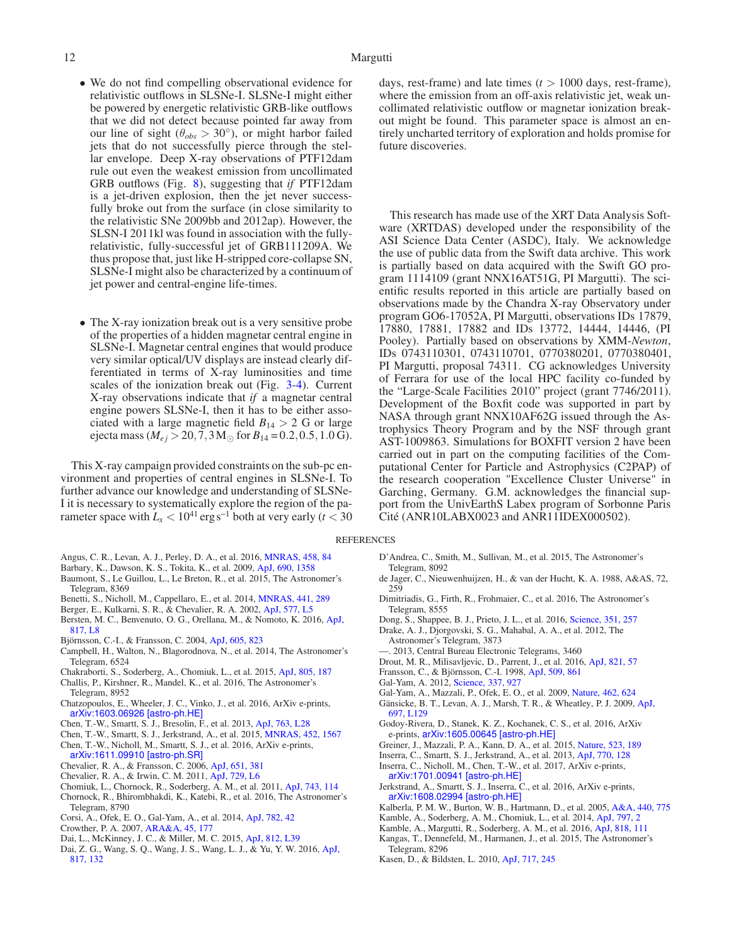- We do not find compelling observational evidence for relativistic outflows in SLSNe-I. SLSNe-I might either be powered by energetic relativistic GRB-like outflows that we did not detect because pointed far away from our line of sight ( $\theta_{obs} > 30^{\circ}$ ), or might harbor failed jets that do not successfully pierce through the stellar envelope. Deep X-ray observations of PTF12dam rule out even the weakest emission from uncollimated GRB outflows (Fig. [8\)](#page-8-0), suggesting that *if* PTF12dam is a jet-driven explosion, then the jet never successfully broke out from the surface (in close similarity to the relativistic SNe 2009bb and 2012ap). However, the SLSN-I 2011kl was found in association with the fullyrelativistic, fully-successful jet of GRB111209A. We thus propose that, just like H-stripped core-collapse SN, SLSNe-I might also be characterized by a continuum of jet power and central-engine life-times.
- The X-ray ionization break out is a very sensitive probe of the properties of a hidden magnetar central engine in SLSNe-I. Magnetar central engines that would produce very similar optical/UV displays are instead clearly differentiated in terms of X-ray luminosities and time scales of the ionization break out (Fig. [3-](#page-4-2)[4\)](#page-5-2). Current X-ray observations indicate that *if* a magnetar central engine powers SLSNe-I, then it has to be either associated with a large magnetic field  $B_{14} > 2$  G or large ejecta mass ( $M_{ej} > 20, 7, 3 M_{\odot}$  for  $B_{14} = 0.2, 0.5, 1.0 \,\text{G}$ ).

This X-ray campaign provided constraints on the sub-pc environment and properties of central engines in SLSNe-I. To further advance our knowledge and understanding of SLSNe-I it is necessary to systematically explore the region of the parameter space with  $L<sub>x</sub> < 10<sup>41</sup>$  erg s<sup>-1</sup> both at very early ( $t < 30$ )

- <span id="page-11-6"></span>Angus, C. R., Levan, A. J., Perley, D. A., et al. 2016, [MNRAS, 458, 84](http://dx.doi.org/10.1093/mnras/stw063)
- <span id="page-11-16"></span>Barbary, K., Dawson, K. S., Tokita, K., et al. 2009, [ApJ, 690, 1358](http://dx.doi.org/10.1088/0004-637X/690/2/1358)
- <span id="page-11-41"></span>Baumont, S., Le Guillou, L., Le Breton, R., et al. 2015, The Astronomer's Telegram, 8369
- <span id="page-11-15"></span>Benetti, S., Nicholl, M., Cappellaro, E., et al. 2014, [MNRAS, 441, 289](http://dx.doi.org/10.1093/mnras/stu538)
- <span id="page-11-30"></span>Berger, E., Kulkarni, S. R., & Chevalier, R. A. 2002, [ApJ, 577, L5](http://dx.doi.org/10.1086/344045)
- <span id="page-11-13"></span>Bersten, M. C., Benvenuto, O. G., Orellana, M., & Nomoto, K. 2016, ApJ, 817, L8
- <span id="page-11-24"></span>Björnsson, C.-I., & Fransson, C. 2004, [ApJ, 605, 823](http://dx.doi.org/10.1086/382584)
- <span id="page-11-39"></span>Campbell, H., Walton, N., Blagorodnova, N., et al. 2014, The Astronomer's Telegram, 6524
- <span id="page-11-33"></span>Chakraborti, S., Soderberg, A., Chomiuk, L., et al. 2015, [ApJ, 805, 187](http://dx.doi.org/10.1088/0004-637X/805/2/187)
- <span id="page-11-21"></span>Challis, P., Kirshner, R., Mandel, K., et al. 2016, The Astronomer's Telegram, 8952
- <span id="page-11-11"></span>Chatzopoulos, E., Wheeler, J. C., Vinko, J., et al. 2016, ArXiv e-prints, [arXiv:1603.06926 \[astro-ph.HE\]](http://arxiv.org/abs/1603.06926)
- <span id="page-11-36"></span>Chen, T.-W., Smartt, S. J., Bresolin, F., et al. 2013, [ApJ, 763, L28](http://dx.doi.org/10.1088/2041-8205/763/2/L28)
- <span id="page-11-23"></span>Chen, T.-W., Smartt, S. J., Jerkstrand, A., et al. 2015, [MNRAS, 452, 1567](http://dx.doi.org/10.1093/mnras/stv1360)
- <span id="page-11-5"></span>Chen, T.-W., Nicholl, M., Smartt, S. J., et al. 2016, ArXiv e-prints, [arXiv:1611.09910 \[astro-ph.SR\]](http://arxiv.org/abs/1611.09910)
- <span id="page-11-25"></span>Chevalier, R. A., & Fransson, C. 2006, [ApJ, 651, 381](http://dx.doi.org/10.1086/507606)
- <span id="page-11-3"></span>Chevalier, R. A., & Irwin, C. M. 2011, [ApJ, 729, L6](http://dx.doi.org/10.1088/2041-8205/729/1/L6)
- Chomiuk, L., Chornock, R., Soderberg, A. M., et al. 2011, [ApJ, 743, 114](http://dx.doi.org/10.1088/0004-637X/743/2/114)
- <span id="page-11-42"></span><span id="page-11-0"></span>Chornock, R., Bhirombhakdi, K., Katebi, R., et al. 2016, The Astronomer's Telegram, 8790
- <span id="page-11-32"></span>Corsi, A., Ofek, E. O., Gal-Yam, A., et al. 2014, [ApJ, 782, 42](http://dx.doi.org/10.1088/0004-637X/782/1/42)
- <span id="page-11-27"></span>Crowther, P. A. 2007, [ARA&A, 45, 177](http://dx.doi.org/10.1146/annurev.astro.45.051806.110615)
- <span id="page-11-12"></span>Dai, L., McKinney, J. C., & Miller, M. C. 2015, [ApJ, 812, L39](http://dx.doi.org/10.1088/2041-8205/812/2/L39)
- <span id="page-11-35"></span>Dai, Z. G., Wang, S. Q., Wang, J. S., Wang, L. J., & Yu, Y. W. 2016, ApJ, 817, 132

days, rest-frame) and late times (*t* > 1000 days, rest-frame), where the emission from an off-axis relativistic jet, weak uncollimated relativistic outflow or magnetar ionization breakout might be found. This parameter space is almost an entirely uncharted territory of exploration and holds promise for future discoveries.

This research has made use of the XRT Data Analysis Software (XRTDAS) developed under the responsibility of the ASI Science Data Center (ASDC), Italy. We acknowledge the use of public data from the Swift data archive. This work is partially based on data acquired with the Swift GO program 1114109 (grant NNX16AT51G, PI Margutti). The scientific results reported in this article are partially based on observations made by the Chandra X-ray Observatory under program GO6-17052A, PI Margutti, observations IDs 17879, 17880, 17881, 17882 and IDs 13772, 14444, 14446, (PI Pooley). Partially based on observations by XMM-*Newton*, IDs 0743110301, 0743110701, 0770380201, 0770380401, PI Margutti, proposal 74311. CG acknowledges University of Ferrara for use of the local HPC facility co-funded by the "Large-Scale Facilities 2010" project (grant 7746/2011). Development of the Boxfit code was supported in part by NASA through grant NNX10AF62G issued through the Astrophysics Theory Program and by the NSF through grant AST-1009863. Simulations for BOXFIT version 2 have been carried out in part on the computing facilities of the Computational Center for Particle and Astrophysics (C2PAP) of the research cooperation "Excellence Cluster Universe" in Garching, Germany. G.M. acknowledges the financial support from the UnivEarthS Labex program of Sorbonne Paris Cité (ANR10LABX0023 and ANR11IDEX000502).

#### **REFERENCES**

- <span id="page-11-19"></span>D'Andrea, C., Smith, M., Sullivan, M., et al. 2015, The Astronomer's Telegram, 8092
- <span id="page-11-28"></span>de Jager, C., Nieuwenhuijzen, H., & van der Hucht, K. A. 1988, A&AS, 72, 259
- <span id="page-11-22"></span>Dimitriadis, G., Firth, R., Frohmaier, C., et al. 2016, The Astronomer's Telegram, 8555
- <span id="page-11-10"></span>Dong, S., Shappee, B. J., Prieto, J. L., et al. 2016, [Science, 351, 257](http://dx.doi.org/10.1126/science.aac9613)
- <span id="page-11-38"></span>Drake, A. J., Djorgovski, S. G., Mahabal, A. A., et al. 2012, The Astronomer's Telegram, 3873
- <span id="page-11-37"></span>2013, Central Bureau Electronic Telegrams, 3460
- <span id="page-11-26"></span>Drout, M. R., Milisavljevic, D., Parrent, J., et al. 2016, [ApJ, 821, 57](http://dx.doi.org/10.3847/0004-637X/821/1/57)
- <span id="page-11-29"></span>Fransson, C., & Björnsson, C.-I. 1998, [ApJ, 509, 861](http://dx.doi.org/10.1086/306531)
- <span id="page-11-1"></span>Gal-Yam, A. 2012, [Science, 337, 927](http://dx.doi.org/10.1126/science.1203601)
- <span id="page-11-2"></span>Gal-Yam, A., Mazzali, P., Ofek, E. O., et al. 2009, [Nature, 462, 624](http://dx.doi.org/10.1038/nature08579)
- <span id="page-11-8"></span>Gänsicke, B. T., Levan, A. J., Marsh, T. R., & Wheatley, P. J. 2009, ApJ, 697, L129
- <span id="page-11-14"></span>Godoy-Rivera, D., Stanek, K. Z., Kochanek, C. S., et al. 2016, ArXiv e-prints, [arXiv:1605.00645 \[astro-ph.HE\]](http://arxiv.org/abs/1605.00645)
- <span id="page-11-7"></span>Greiner, J., Mazzali, P. A., Kann, D. A., et al. 2015, [Nature, 523, 189](http://dx.doi.org/10.1038/nature14579)
- <span id="page-11-17"></span>Inserra, C., Smartt, S. J., Jerkstrand, A., et al. 2013, [ApJ, 770, 128](http://dx.doi.org/10.1088/0004-637X/770/2/128)
- <span id="page-11-9"></span>Inserra, C., Nicholl, M., Chen, T.-W., et al. 2017, ArXiv e-prints, [arXiv:1701.00941 \[astro-ph.HE\]](http://arxiv.org/abs/1701.00941)
- <span id="page-11-18"></span>Jerkstrand, A., Smartt, S. J., Inserra, C., et al. 2016, ArXiv e-prints, [arXiv:1608.02994 \[astro-ph.HE\]](http://arxiv.org/abs/1608.02994)
- <span id="page-11-20"></span>Kalberla, P. M. W., Burton, W. B., Hartmann, D., et al. 2005, [A&A, 440, 775](http://dx.doi.org/10.1051/0004-6361:20041864)
- <span id="page-11-31"></span>Kamble, A., Soderberg, A. M., Chomiuk, L., et al. 2014, [ApJ, 797, 2](http://dx.doi.org/10.1088/0004-637X/797/1/2)
- <span id="page-11-34"></span>Kamble, A., Margutti, R., Soderberg, A. M., et al. 2016, [ApJ, 818, 111](http://dx.doi.org/10.3847/0004-637X/818/2/111)
- <span id="page-11-40"></span>Kangas, T., Dennefeld, M., Harmanen, J., et al. 2015, The Astronomer's Telegram, 8296
- <span id="page-11-4"></span>Kasen, D., & Bildsten, L. 2010, [ApJ, 717, 245](http://dx.doi.org/10.1088/0004-637X/717/1/245)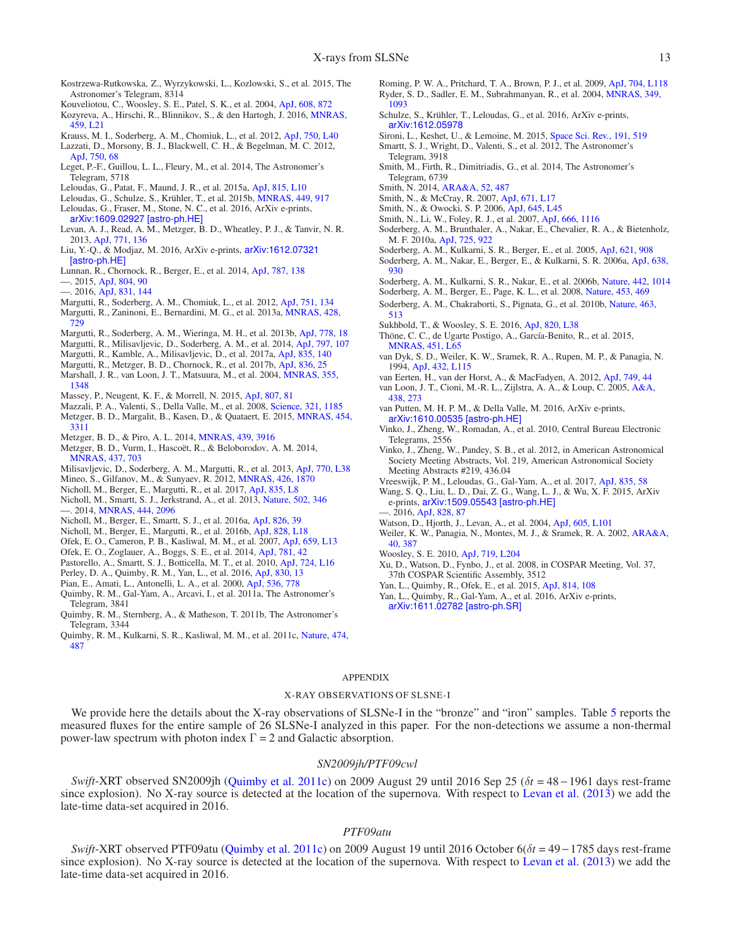- <span id="page-12-74"></span>Kostrzewa-Rutkowska, Z., Wyrzykowski, L., Kozlowski, S., et al. 2015, The Astronomer's Telegram, 8314
- <span id="page-12-56"></span>Kouveliotou, C., Woosley, S. E., Patel, S. K., et al. 2004, [ApJ, 608, 872](http://dx.doi.org/10.1086/420878)
- <span id="page-12-21"></span>Kozyreva, A., Hirschi, R., Blinnikov, S., & den Hartogh, J. 2016, MNRAS, 459, L21
- <span id="page-12-53"></span>Krauss, M. I., Soderberg, A. M., Chomiuk, L., et al. 2012, [ApJ, 750, L40](http://dx.doi.org/10.1088/2041-8205/750/2/L40)
- <span id="page-12-63"></span>Lazzati, D., Morsony, B. J., Blackwell, C. H., & Begelman, M. C. 2012, [ApJ, 750, 68](http://dx.doi.org/10.1088/0004-637X/750/1/68)
- <span id="page-12-73"></span>Leget, P.-F., Guillou, L. L., Fleury, M., et al. 2014, The Astronomer's Telegram, 5718
- <span id="page-12-27"></span>Leloudas, G., Patat, F., Maund, J. R., et al. 2015a, [ApJ, 815, L10](http://dx.doi.org/10.1088/2041-8205/815/1/L10)
- <span id="page-12-8"></span>Leloudas, G., Schulze, S., Krühler, T., et al. 2015b, [MNRAS, 449, 917](http://dx.doi.org/10.1093/mnras/stv320)
- <span id="page-12-18"></span>Leloudas, G., Fraser, M., Stone, N. C., et al. 2016, ArXiv e-prints, [arXiv:1609.02927 \[astro-ph.HE\]](http://arxiv.org/abs/1609.02927)
- <span id="page-12-15"></span>Levan, A. J., Read, A. M., Metzger, B. D., Wheatley, P. J., & Tanvir, N. R. 2013, [ApJ, 771, 136](http://dx.doi.org/10.1088/0004-637X/771/2/136)
- <span id="page-12-65"></span>Liu, Y.-Q., & Modjaz, M. 2016, ArXiv e-prints, arXiv:1612.07321 [astro-ph.HE]
- <span id="page-12-7"></span>Lunnan, R., Chornock, R., Berger, E., et al. 2014, [ApJ, 787, 138](http://dx.doi.org/10.1088/0004-637X/787/2/138)
- <span id="page-12-69"></span>—. 2015, [ApJ, 804, 90](http://dx.doi.org/10.1088/0004-637X/804/2/90)
- <span id="page-12-25"></span>—. 2016, [ApJ, 831, 144](http://dx.doi.org/10.3847/0004-637X/831/2/144)
- <span id="page-12-41"></span>Margutti, R., Soderberg, A. M., Chomiuk, L., et al. 2012, [ApJ, 751, 134](http://dx.doi.org/10.1088/0004-637X/751/2/134)
- <span id="page-12-23"></span>Margutti, R., Zaninoni, E., Bernardini, M. G., et al. 2013a, MNRAS, 428, 729
- <span id="page-12-60"></span>Margutti, R., Soderberg, A. M., Wieringa, M. H., et al. 2013b, [ApJ, 778, 18](http://dx.doi.org/10.1088/0004-637X/778/1/18)
- <span id="page-12-42"></span>Margutti, R., Milisavljevic, D., Soderberg, A. M., et al. 2014, [ApJ, 797, 107](http://dx.doi.org/10.1088/0004-637X/797/2/107)
- <span id="page-12-22"></span>Margutti, R., Kamble, A., Milisavljevic, D., et al. 2017a, [ApJ, 835, 140](http://dx.doi.org/10.3847/1538-4357/835/2/140)
- <span id="page-12-17"></span>Margutti, R., Metzger, B. D., Chornock, R., et al. 2017b, [ApJ, 836, 25](http://dx.doi.org/10.3847/1538-4357/836/1/25)
- <span id="page-12-36"></span>Marshall, J. R., van Loon, J. T., Matsuura, M., et al. 2004, MNRAS, 355, 1348
- <span id="page-12-35"></span>Massey, P., Neugent, K. F., & Morrell, N. 2015, [ApJ, 807, 81](http://dx.doi.org/10.1088/0004-637X/807/1/81)
- <span id="page-12-62"></span>Mazzali, P. A., Valenti, S., Della Valle, M., et al. 2008, [Science, 321, 1185](http://dx.doi.org/10.1126/science.1158088)
- <span id="page-12-10"></span>Metzger, B. D., Margalit, B., Kasen, D., & Quataert, E. 2015, MNRAS, 454, 3311
- <span id="page-12-64"></span>Metzger, B. D., & Piro, A. L. 2014, [MNRAS, 439, 3916](http://dx.doi.org/10.1093/mnras/stu247)
- <span id="page-12-16"></span>Metzger, B. D., Vurm, I., Hascoët, R., & Beloborodov, A. M. 2014, [MNRAS, 437, 703](http://dx.doi.org/10.1093/mnras/stt1922)
- <span id="page-12-11"></span>Milisavljevic, D., Soderberg, A. M., Margutti, R., et al. 2013, [ApJ, 770, L38](http://dx.doi.org/10.1088/2041-8205/770/2/L38)
- <span id="page-12-33"></span>Mineo, S., Gilfanov, M., & Sunyaev, R. 2012, [MNRAS, 426, 1870](http://dx.doi.org/10.1111/j.1365-2966.2012.21831.x)
- <span id="page-12-13"></span>Nicholl, M., Berger, E., Margutti, R., et al. 2017, [ApJ, 835, L8](http://dx.doi.org/10.3847/2041-8213/aa56c5)
- <span id="page-12-3"></span>Nicholl, M., Smartt, S. J., Jerkstrand, A., et al. 2013, [Nature, 502, 346](http://dx.doi.org/10.1038/nature12569) —. 2014, [MNRAS, 444, 2096](http://dx.doi.org/10.1093/mnras/stu1579)
- <span id="page-12-40"></span><span id="page-12-12"></span>Nicholl, M., Berger, E., Smartt, S. J., et al. 2016a, [ApJ, 826, 39](http://dx.doi.org/10.3847/0004-637X/826/1/39)
- <span id="page-12-30"></span>Nicholl, M., Berger, E., Margutti, R., et al. 2016b, [ApJ, 828, L18](http://dx.doi.org/10.3847/2041-8205/828/2/L18)
- <span id="page-12-4"></span>Ofek, E. O., Cameron, P. B., Kasliwal, M. M., et al. 2007, [ApJ, 659, L13](http://dx.doi.org/10.1086/516749)
- <span id="page-12-34"></span>Ofek, E. O., Zoglauer, A., Boggs, S. E., et al. 2014, [ApJ, 781, 42](http://dx.doi.org/10.1088/0004-637X/781/1/42)
- <span id="page-12-66"></span>Pastorello, A., Smartt, S. J., Botticella, M. T., et al. 2010, [ApJ, 724, L16](http://dx.doi.org/10.1088/2041-8205/724/1/L16)
- <span id="page-12-9"></span>Perley, D. A., Quimby, R. M., Yan, L., et al. 2016, [ApJ, 830, 13](http://dx.doi.org/10.3847/0004-637X/830/1/13)
- <span id="page-12-55"></span>Pian, E., Amati, L., Antonelli, L. A., et al. 2000, [ApJ, 536, 778](http://dx.doi.org/10.1086/308978)
- <span id="page-12-71"></span>Quimby, R. M., Gal-Yam, A., Arcavi, I., et al. 2011a, The Astronomer's Telegram, 3841
- <span id="page-12-68"></span>Quimby, R. M., Sternberg, A., & Matheson, T. 2011b, The Astronomer's Telegram, 3344
- <span id="page-12-0"></span>Quimby, R. M., Kulkarni, S. R., Kasliwal, M. M., et al. 2011c, Nature, 474, 487
- <span id="page-12-50"></span><span id="page-12-45"></span>Roming, P. W. A., Pritchard, T. A., Brown, P. J., et al. 2009, [ApJ, 704, L118](http://dx.doi.org/10.1088/0004-637X/704/2/L118) Ryder, S. D., Sadler, E. M., Subrahmanyan, R., et al. 2004, MNRAS, 349, 1093
- <span id="page-12-70"></span>Schulze, S., Krühler, T., Leloudas, G., et al. 2016, ArXiv e-prints, [arXiv:1612.05978](http://arxiv.org/abs/1612.05978)
- <span id="page-12-58"></span>Sironi, L., Keshet, U., & Lemoine, M. 2015, [Space Sci. Rev., 191, 519](http://dx.doi.org/10.1007/s11214-015-0181-8)
- <span id="page-12-72"></span>Smartt, S. J., Wright, D., Valenti, S., et al. 2012, The Astronomer's Telegram, 3918
- <span id="page-12-28"></span>Smith, M., Firth, R., Dimitriadis, G., et al. 2014, The Astronomer's Telegram, 6739
- <span id="page-12-38"></span>Smith, N. 2014, [ARA&A, 52, 487](http://dx.doi.org/10.1146/annurev-astro-081913-040025)
- <span id="page-12-1"></span>Smith, N., & McCray, R. 2007, [ApJ, 671, L17](http://dx.doi.org/10.1086/524681)
- <span id="page-12-39"></span>Smith, N., & Owocki, S. P. 2006, [ApJ, 645, L45](http://dx.doi.org/10.1086/506523)
- <span id="page-12-54"></span>Smith, N., Li, W., Foley, R. J., et al. 2007, [ApJ, 666, 1116](http://dx.doi.org/10.1086/519949)
- <span id="page-12-52"></span>Soderberg, A. M., Brunthaler, A., Nakar, E., Chevalier, R. A., & Bietenholz, M. F. 2010a, [ApJ, 725, 922](http://dx.doi.org/10.1088/0004-637X/725/1/922)
- <span id="page-12-46"></span>Soderberg, A. M., Kulkarni, S. R., Berger, E., et al. 2005, [ApJ, 621, 908](http://dx.doi.org/10.1086/427649)
- <span id="page-12-47"></span>Soderberg, A. M., Nakar, E., Berger, E., & Kulkarni, S. R. 2006a, ApJ, 638, 930
- <span id="page-12-48"></span>Soderberg, A. M., Kulkarni, S. R., Nakar, E., et al. 2006b, [Nature, 442, 1014](http://dx.doi.org/10.1038/nature05087) Soderberg, A. M., Berger, E., Page, K. L., et al. 2008, [Nature, 453, 469](http://dx.doi.org/10.1038/nature06997)
- <span id="page-12-51"></span><span id="page-12-49"></span>Soderberg, A. M., Chakraborti, S., Pignata, G., et al. 2010b, Nature, 463, 513
- <span id="page-12-20"></span>Sukhbold, T., & Woosley, S. E. 2016, [ApJ, 820, L38](http://dx.doi.org/10.3847/2041-8205/820/2/L38)
- <span id="page-12-32"></span>Thöne, C. C., de Ugarte Postigo, A., García-Benito, R., et al. 2015, [MNRAS, 451, L65](http://dx.doi.org/10.1093/mnrasl/slv051)
- <span id="page-12-43"></span>van Dyk, S. D., Weiler, K. W., Sramek, R. A., Rupen, M. P., & Panagia, N. 1994, [ApJ, 432, L115](http://dx.doi.org/10.1086/187525)
- <span id="page-12-57"></span>van Eerten, H., van der Horst, A., & MacFadyen, A. 2012, [ApJ, 749, 44](http://dx.doi.org/10.1088/0004-637X/749/1/44)
- <span id="page-12-37"></span>van Loon, J. T., Cioni, M.-R. L., Zijlstra, A. A., & Loup, C. 2005, A&A,
- <span id="page-12-19"></span>van Putten, M. H. P. M., & Della Valle, M. 2016, ArXiv e-prints, [arXiv:1610.00535 \[astro-ph.HE\]](http://arxiv.org/abs/1610.00535)
- <span id="page-12-67"></span>Vinko, J., Zheng, W., Romadan, A., et al. 2010, Central Bureau Electronic Telegrams, 2556
- <span id="page-12-26"></span>Vinko, J., Zheng, W., Pandey, S. B., et al. 2012, in American Astronomical Society Meeting Abstracts, Vol. 219, American Astronomical Society Meeting Abstracts #219, 436.04
- <span id="page-12-31"></span>Vreeswijk, P. M., Leloudas, G., Gal-Yam, A., et al. 2017, [ApJ, 835, 58](http://dx.doi.org/10.3847/1538-4357/835/1/58) Wang, S. Q., Liu, L. D., Dai, Z. G., Wang, L. J., & Wu, X. F. 2015, ArXiv
- <span id="page-12-29"></span>e-prints, [arXiv:1509.05543 \[astro-ph.HE\]](http://arxiv.org/abs/1509.05543)
- <span id="page-12-6"></span>2016, [ApJ, 828, 87](http://dx.doi.org/10.3847/0004-637X/828/2/87)

438, 273

- <span id="page-12-59"></span>Watson, D., Hjorth, J., Levan, A., et al. 2004, [ApJ, 605, L101](http://dx.doi.org/10.1086/420844)
- <span id="page-12-44"></span>Weiler, K[. W., Panagia, N., Montes, M. J., & Sramek, R. A. 2002,](http://dx.doi.org/10.1146/annurev.astro.40.060401.093744) ARA&A, 40, 387
- <span id="page-12-2"></span>Woosley, S. E. 2010, [ApJ, 719, L204](http://dx.doi.org/10.1088/2041-8205/719/2/L204)
- <span id="page-12-61"></span>Xu, D., Watson, D., Fynbo, J., et al. 2008, in COSPAR Meeting, Vol. 37, 37th COSPAR Scientific Assembly, 3512
- <span id="page-12-5"></span>Yan, L., Quimby, R., Ofek, E., et al. 2015, [ApJ, 814, 108](http://dx.doi.org/10.1088/0004-637X/814/2/108)
- <span id="page-12-14"></span>Yan, L., Quimby, R., Gal-Yam, A., et al. 2016, ArXiv e-prints, [arXiv:1611.02782 \[astro-ph.SR\]](http://arxiv.org/abs/1611.02782)

## APPENDIX

#### X-RAY OBSERVATIONS OF SLSNE-I

<span id="page-12-24"></span>We provide here the details about the X-ray observations of SLSNe-I in the "bronze" and "iron" samples. Table [5](#page-14-0) reports the measured fluxes for the entire sample of 26 SLSNe-I analyzed in this paper. For the non-detections we assume a non-thermal power-law spectrum with photon index  $\Gamma = 2$  and Galactic absorption.

## *SN2009jh/PTF09cwl*

*Swift*-XRT observed SN2009jh [\(Quimby et al. 2011c](#page-12-0)) on 2009 August 29 until 2016 Sep 25 (δ*t* = 48 − 1961 days rest-frame since explosion). No X-ray source is detected at the location of the supernova. With respect to [Levan et al.](#page-12-15) [\(2013\)](#page-12-15) we add the late-time data-set acquired in 2016.

#### *PTF09atu*

*Swift*-XRT observed PTF09atu [\(Quimby et al. 2011c](#page-12-0)) on 2009 August 19 until 2016 October 6(δ*t* = 49 − 1785 days rest-frame since explosion). No X-ray source is detected at the location of the supernova. With respect to [Levan et al.](#page-12-15) [\(2013\)](#page-12-15) we add the late-time data-set acquired in 2016.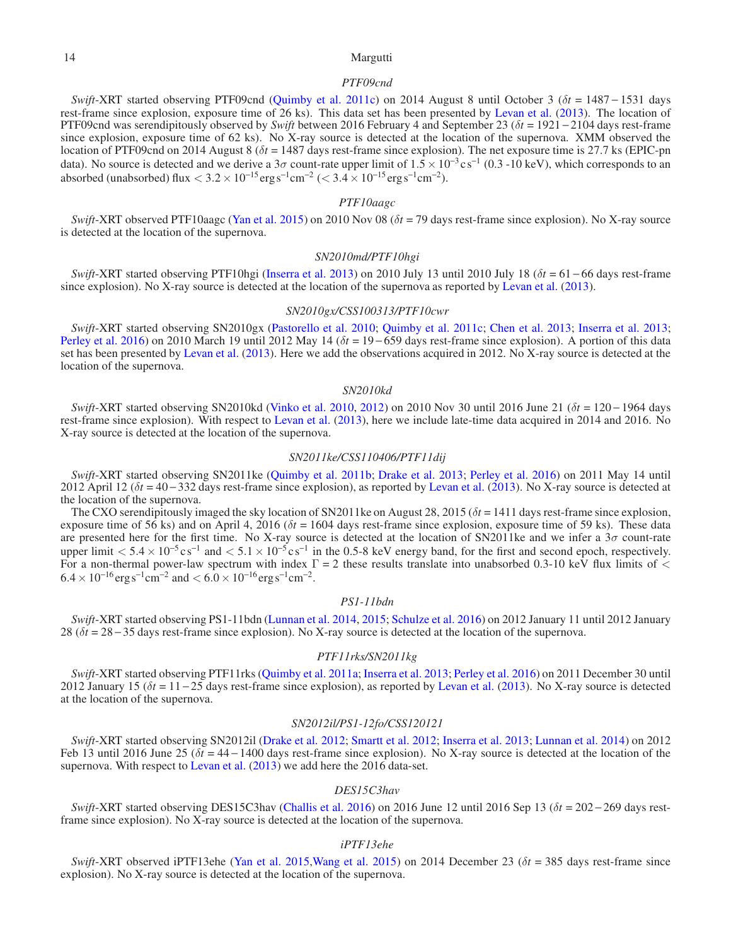# 14 Margutti

## *PTF09cnd*

*Swift*-XRT started observing PTF09cnd [\(Quimby et al. 2011c\)](#page-12-0) on 2014 August 8 until October 3 (δ*t* = 1487 − 1531 days rest-frame since explosion, exposure time of 26 ks). This data set has been presented by [Levan et al.](#page-12-15) [\(2013](#page-12-15)). The location of PTF09cnd was serendipitously observed by *Swift* between 2016 February 4 and September 23 (δ*t* = 1921 − 2104 days rest-frame since explosion, exposure time of 62 ks). No X-ray source is detected at the location of the supernova. XMM observed the location of PTF09cnd on 2014 August 8 (δ*t* = 1487 days rest-frame since explosion). The net exposure time is 27.7 ks (EPIC-pn data). No source is detected and we derive a  $3\sigma$  count-rate upper limit of  $1.5 \times 10^{-3}$  cs<sup>-1</sup> (0.3 -10 keV), which corresponds to an absorbed (unabsorbed) flux  $< 3.2 \times 10^{-15}$  erg s<sup>-1</sup>cm<sup>-2</sup> ( $< 3.4 \times 10^{-15}$  erg s<sup>-1</sup>cm<sup>-2</sup>).

# *PTF10aagc*

*Swift*-XRT observed PTF10aagc [\(Yan et al. 2015\)](#page-12-5) on 2010 Nov 08 (δ*t* = 79 days rest-frame since explosion). No X-ray source is detected at the location of the supernova.

## *SN2010md/PTF10hgi*

*Swift*-XRT started observing PTF10hgi [\(Inserra et al. 2013](#page-11-17)) on 2010 July 13 until 2010 July 18 (δ*t* = 61 − 66 days rest-frame since explosion). No X-ray source is detected at the location of the supernova as reported by [Levan et al.](#page-12-15) [\(2013\)](#page-12-15).

# *SN2010gx/CSS100313/PTF10cwr*

*Swift*-XRT started observing SN2010gx [\(Pastorello et al. 2010;](#page-12-66) [Quimby et al. 2011c;](#page-12-0) [Chen et al. 2013;](#page-11-36) [Inserra et al. 2013](#page-11-17); [Perley et al. 2016](#page-12-9)) on 2010 March 19 until 2012 May 14 (δ*t* = 19 − 659 days rest-frame since explosion). A portion of this data set has been presented by [Levan et al.](#page-12-15) [\(2013](#page-12-15)). Here we add the observations acquired in 2012. No X-ray source is detected at the location of the supernova.

#### *SN2010kd*

*Swift*-XRT started observing SN2010kd [\(Vinko et al. 2010,](#page-12-67) [2012\)](#page-12-26) on 2010 Nov 30 until 2016 June 21 (δ*t* = 120 − 1964 days rest-frame since explosion). With respect to [Levan et al.](#page-12-15) [\(2013](#page-12-15)), here we include late-time data acquired in 2014 and 2016. No X-ray source is detected at the location of the supernova.

# *SN2011ke/CSS110406/PTF11dij*

*Swift*-XRT started observing SN2011ke [\(Quimby et al. 2011b](#page-12-68); [Drake et al. 2013](#page-11-37); [Perley et al. 2016](#page-12-9)) on 2011 May 14 until 2012 April 12 ( $\delta t$  = 40 − 332 days rest-frame since explosion), as reported by [Levan et al.](#page-12-15) [\(2013](#page-12-15)). No X-ray source is detected at the location of the supernova.

The CXO serendipitously imaged the sky location of SN2011ke on August 28, 2015 ( $\delta t = 1411$  days rest-frame since explosion, exposure time of 56 ks) and on April 4, 2016 ( $\delta t = 1604$  days rest-frame since explosion, exposure time of 59 ks). These data are presented here for the first time. No X-ray source is detected at the location of SN2011ke and we infer a  $3\sigma$  count-rate upper limit  $< 5.4 \times 10^{-5}$  c s<sup>-1</sup> and  $< 5.1 \times 10^{-5}$  c s<sup>-1</sup> in the 0.5-8 keV energy band, for the first and second epoch, respectively. For a non-thermal power-law spectrum with index  $\Gamma = 2$  these results translate into unabsorbed 0.3-10 keV flux limits of <  $6.4 \times 10^{-16} \text{erg s}^{-1} \text{cm}^{-2}$  and  $< 6.0 \times 10^{-16} \text{erg s}^{-1} \text{cm}^{-2}$ .

#### *PS1-11bdn*

*Swift*-XRT started observing PS1-11bdn [\(Lunnan et al. 2014,](#page-12-7) [2015;](#page-12-69) [Schulze et al. 2016](#page-12-70)) on 2012 January 11 until 2012 January 28 (δ*t* = 28 − 35 days rest-frame since explosion). No X-ray source is detected at the location of the supernova.

# *PTF11rks/SN2011kg*

*Swift*-XRT started observing PTF11rks [\(Quimby et al. 2011a](#page-12-71); [Inserra et al. 2013;](#page-11-17) [Perley et al. 2016](#page-12-9)) on 2011 December 30 until 2012 January 15 (δ*t* = 11 − 25 days rest-frame since explosion), as reported by [Levan et al.](#page-12-15) [\(2013](#page-12-15)). No X-ray source is detected at the location of the supernova.

# *SN2012il/PS1-12fo/CSS120121*

*Swift*-XRT started observing SN2012il [\(Drake et al. 2012](#page-11-38); [Smartt et al. 2012;](#page-12-72) [Inserra et al. 2013](#page-11-17); [Lunnan et al. 2014\)](#page-12-7) on 2012 Feb 13 until 2016 June 25 ( $\delta t = 44 - 1400$  days rest-frame since explosion). No X-ray source is detected at the location of the supernova. With respect to [Levan et al.](#page-12-15)  $(2013)$  $(2013)$  we add here the 2016 data-set.

#### *DES15C3hav*

*Swift*-XRT started observing DES15C3hav [\(Challis et al. 2016](#page-11-21)) on 2016 June 12 until 2016 Sep 13 (δ*t* = 202 − 269 days restframe since explosion). No X-ray source is detected at the location of the supernova.

#### *iPTF13ehe*

*Swift*-XRT observed iPTF13ehe [\(Yan et al. 2015](#page-12-5)[,Wang et al. 2015](#page-12-29)) on 2014 December 23 (δ*t* = 385 days rest-frame since explosion). No X-ray source is detected at the location of the supernova.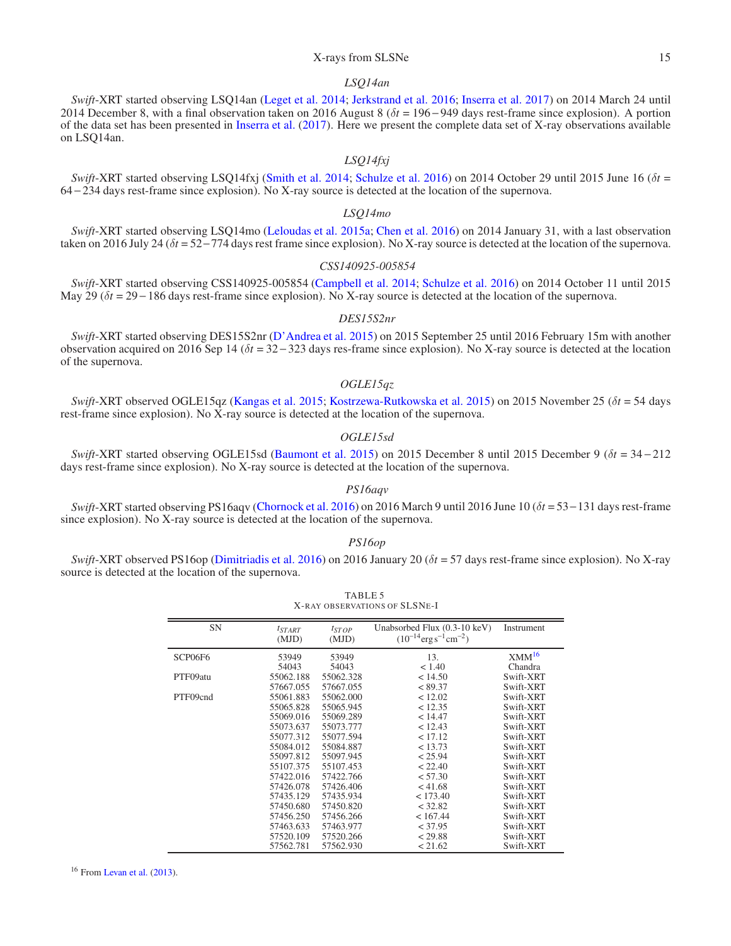# X-rays from SLSNe 15

# *LSQ14an*

*Swift*-XRT started observing LSQ14an [\(Leget et al. 2014;](#page-12-73) [Jerkstrand et al. 2016;](#page-11-18) [Inserra et al. 2017](#page-11-9)) on 2014 March 24 until 2014 December 8, with a final observation taken on 2016 August 8 (δ*t* = 196 − 949 days rest-frame since explosion). A portion of the data set has been presented in [Inserra et al.](#page-11-9) [\(2017\)](#page-11-9). Here we present the complete data set of X-ray observations available on LSQ14an.

# *LSQ14fxj*

*Swift*-XRT started observing LSQ14fxj [\(Smith et al. 2014;](#page-12-28) [Schulze et al. 2016](#page-12-70)) on 2014 October 29 until 2015 June 16 (δ*t* = 64 − 234 days rest-frame since explosion). No X-ray source is detected at the location of the supernova.

## *LSQ14mo*

*Swift*-XRT started observing LSQ14mo [\(Leloudas et al. 2015a](#page-12-27); [Chen et al. 2016\)](#page-11-5) on 2014 January 31, with a last observation taken on 2016 July 24 (δ*t* = 52−774 days rest frame since explosion). No X-ray source is detected at the location of the supernova.

## *CSS140925-005854*

*Swift*-XRT started observing CSS140925-005854 [\(Campbell et al. 2014;](#page-11-39) [Schulze et al. 2016](#page-12-70)) on 2014 October 11 until 2015 May 29 ( $δt$  = 29 − 186 days rest-frame since explosion). No X-ray source is detected at the location of the supernova.

## *DES15S2nr*

*Swift*-XRT started observing DES15S2nr [\(D'Andrea et al. 2015\)](#page-11-19) on 2015 September 25 until 2016 February 15m with another observation acquired on 2016 Sep 14 (δ*t* = 32 − 323 days res-frame since explosion). No X-ray source is detected at the location of the supernova.

# *OGLE15qz*

*Swift*-XRT observed OGLE15qz [\(Kangas et al. 2015;](#page-11-40) [Kostrzewa-Rutkowska et al. 2015](#page-12-74)) on 2015 November 25 (δ*t* = 54 days rest-frame since explosion). No X-ray source is detected at the location of the supernova.

# *OGLE15sd*

*Swift*-XRT started observing OGLE15sd [\(Baumont et al. 2015\)](#page-11-41) on 2015 December 8 until 2015 December 9 (δ*t* = 34 − 212 days rest-frame since explosion). No X-ray source is detected at the location of the supernova.

# *PS16aqv*

*Swift*-XRT started observing PS16aqv [\(Chornock et al. 2016](#page-11-42)) on 2016 March 9 until 2016 June 10 (δ*t* = 53−131 days rest-frame since explosion). No X-ray source is detected at the location of the supernova.

# *PS16op*

<span id="page-14-0"></span>*Swift*-XRT observed PS16op [\(Dimitriadis et al. 2016\)](#page-11-22) on 2016 January 20 (δ*t* = 57 days rest-frame since explosion). No X-ray source is detected at the location of the supernova.

TABLE 5

| TADLE J<br>X-RAY OBSERVATIONS OF SLSNE-I |                      |                     |                                                                               |                   |  |  |  |
|------------------------------------------|----------------------|---------------------|-------------------------------------------------------------------------------|-------------------|--|--|--|
| <b>SN</b>                                | $t_{START}$<br>(MJD) | $t_{STOP}$<br>(MJD) | Unabsorbed Flux (0.3-10 keV)<br>$(10^{-14} \text{erg s}^{-1} \text{cm}^{-2})$ | Instrument        |  |  |  |
| SCP06F6                                  | 53949                | 53949               | 13.                                                                           | XMM <sup>16</sup> |  |  |  |
|                                          | 54043                | 54043               | < 1.40                                                                        | Chandra           |  |  |  |
| PTF09atu                                 | 55062.188            | 55062.328           | < 14.50                                                                       | Swift-XRT         |  |  |  |
|                                          | 57667.055            | 57667.055           | < 89.37                                                                       | Swift-XRT         |  |  |  |
| PTF09cnd                                 | 55061.883            | 55062.000           | < 12.02                                                                       | Swift-XRT         |  |  |  |
|                                          | 55065.828            | 55065.945           | < 12.35                                                                       | Swift-XRT         |  |  |  |
|                                          | 55069.016            | 55069.289           | < 14.47                                                                       | Swift-XRT         |  |  |  |
|                                          | 55073.637            | 55073.777           | < 12.43                                                                       | Swift-XRT         |  |  |  |
|                                          | 55077.312            | 55077.594           | < 17.12                                                                       | Swift-XRT         |  |  |  |
|                                          | 55084.012            | 55084.887           | < 13.73                                                                       | Swift-XRT         |  |  |  |
|                                          | 55097.812            | 55097.945           | < 25.94                                                                       | Swift-XRT         |  |  |  |
|                                          | 55107.375            | 55107.453           | < 22.40                                                                       | Swift-XRT         |  |  |  |
|                                          | 57422.016            | 57422.766           | < 57.30                                                                       | Swift-XRT         |  |  |  |
|                                          | 57426.078            | 57426.406           | < 41.68                                                                       | Swift-XRT         |  |  |  |
|                                          | 57435.129            | 57435.934           | < 173.40                                                                      | Swift-XRT         |  |  |  |
|                                          | 57450.680            | 57450.820           | < 32.82                                                                       | Swift-XRT         |  |  |  |
|                                          | 57456.250            | 57456.266           | < 167.44                                                                      | Swift-XRT         |  |  |  |
|                                          | 57463.633            | 57463.977           | < 37.95                                                                       | Swift-XRT         |  |  |  |
|                                          | 57520.109            | 57520.266           | < 29.88                                                                       | Swift-XRT         |  |  |  |
|                                          | 57562.781            | 57562.930           | < 21.62                                                                       | Swift-XRT         |  |  |  |

<span id="page-14-1"></span><sup>16</sup> From [Levan et al.](#page-12-15) [\(2013](#page-12-15)).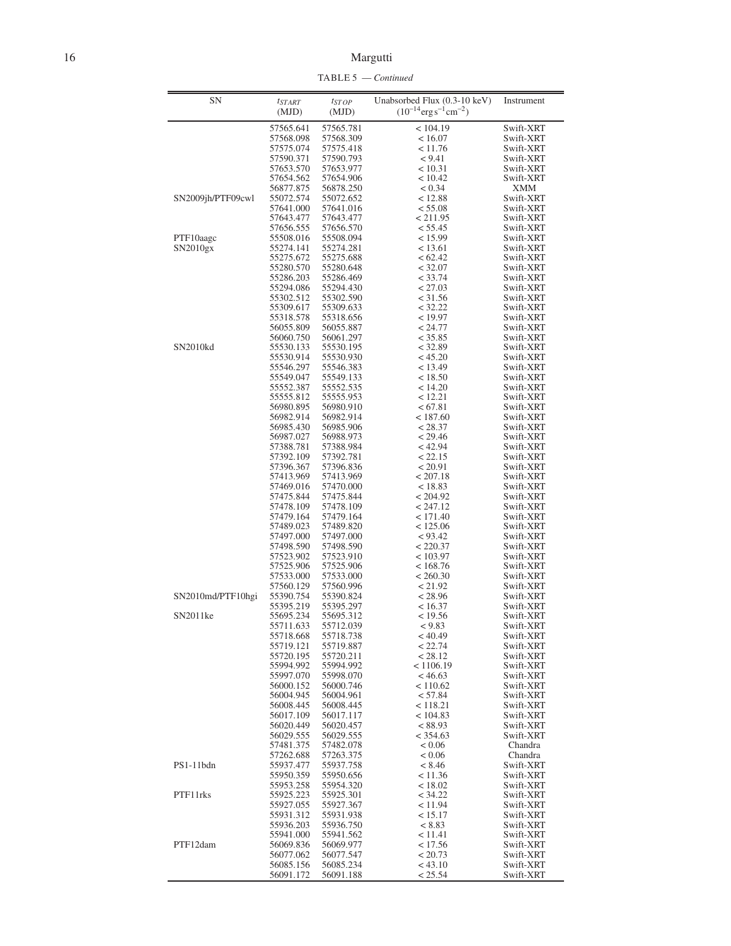TABLE 5 — *Continued*

| SΝ                    | $t_{STAT}$             | $t_{STOP}$             | Unabsorbed Flux (0.3-10 keV)                  | Instrument             |
|-----------------------|------------------------|------------------------|-----------------------------------------------|------------------------|
|                       | (MJD)                  | (MJD)                  | $(10^{-14} \text{erg s}^{-1} \text{cm}^{-2})$ |                        |
|                       | 57565.641              | 57565.781              | < 104.19                                      | Swift-XRT              |
|                       | 57568.098              | 57568.309              | < 16.07                                       | Swift-XRT              |
|                       | 57575.074              | 57575.418              | < 11.76                                       | Swift-XRT              |
|                       | 57590.371<br>57653.570 | 57590.793<br>57653.977 | < 9.41<br>< 10.31                             | Swift-XRT<br>Swift-XRT |
|                       | 57654.562              | 57654.906              | < 10.42                                       | Swift-XRT              |
|                       | 56877.875              | 56878.250              | < 0.34                                        | XMM                    |
| SN2009jh/PTF09cwl     | 55072.574              | 55072.652              | < 12.88                                       | Swift-XRT              |
|                       | 57641.000              | 57641.016              | < 55.08                                       | Swift-XRT              |
|                       | 57643.477<br>57656.555 | 57643.477<br>57656.570 | < 211.95<br>< 55.45                           | Swift-XRT<br>Swift-XRT |
| PTF10aagc             | 55508.016              | 55508.094              | < 15.99                                       | Swift-XRT              |
| SN2010gx              | 55274.141              | 55274.281              | < 13.61                                       | Swift-XRT              |
|                       | 55275.672              | 55275.688              | <62.42                                        | Swift-XRT              |
|                       | 55280.570              | 55280.648              | < 32.07                                       | Swift-XRT              |
|                       | 55286.203<br>55294.086 | 55286.469<br>55294.430 | < 33.74<br>< 27.03                            | Swift-XRT<br>Swift-XRT |
|                       | 55302.512              | 55302.590              | < 31.56                                       | Swift-XRT              |
|                       | 55309.617              | 55309.633              | < 32.22                                       | Swift-XRT              |
|                       | 55318.578              | 55318.656              | < 19.97                                       | Swift-XRT              |
|                       | 56055.809              | 56055.887              | < 24.77                                       | Swift-XRT              |
|                       | 56060.750              | 56061.297              | < 35.85                                       | Swift-XRT              |
| SN2010kd              | 55530.133<br>55530.914 | 55530.195<br>55530.930 | < 32.89<br>< 45.20                            | Swift-XRT<br>Swift-XRT |
|                       | 55546.297              | 55546.383              | < 13.49                                       | Swift-XRT              |
|                       | 55549.047              | 55549.133              | < 18.50                                       | Swift-XRT              |
|                       | 55552.387              | 55552.535              | < 14.20                                       | Swift-XRT              |
|                       | 55555.812              | 55555.953              | < 12.21                                       | Swift-XRT              |
|                       | 56980.895<br>56982.914 | 56980.910<br>56982.914 | < 67.81<br>< 187.60                           | Swift-XRT<br>Swift-XRT |
|                       | 56985.430              | 56985.906              | < 28.37                                       | Swift-XRT              |
|                       | 56987.027              | 56988.973              | < 29.46                                       | Swift-XRT              |
|                       | 57388.781              | 57388.984              | < 42.94                                       | Swift-XRT              |
|                       | 57392.109              | 57392.781              | < 22.15                                       | Swift-XRT              |
|                       | 57396.367<br>57413.969 | 57396.836<br>57413.969 | < 20.91<br>< 207.18                           | Swift-XRT<br>Swift-XRT |
|                       | 57469.016              | 57470.000              | < 18.83                                       | Swift-XRT              |
|                       | 57475.844              | 57475.844              | < 204.92                                      | Swift-XRT              |
|                       | 57478.109              | 57478.109              | < 247.12                                      | Swift-XRT              |
|                       | 57479.164              | 57479.164              | < 171.40                                      | Swift-XRT              |
|                       | 57489.023<br>57497.000 | 57489.820<br>57497.000 | < 125.06<br>< 93.42                           | Swift-XRT<br>Swift-XRT |
|                       | 57498.590              | 57498.590              | < 220.37                                      | Swift-XRT              |
|                       | 57523.902              | 57523.910              | < 103.97                                      | Swift-XRT              |
|                       | 57525.906              | 57525.906              | < 168.76                                      | Swift-XRT              |
|                       | 57533.000              | 57533.000              | < 260.30                                      | Swift-XRT              |
| SN2010md/PTF10hgi     | 57560.129              | 57560.996              | < 21.92                                       | Swift-XRT<br>Swift-XRT |
|                       | 55390.754<br>55395.219 | 55390.824<br>55395.297 | < 28.96<br>< 16.37                            | Swift-XRT              |
| SN <sub>2011</sub> ke | 55695.234              | 55695.312              | < 19.56                                       | Swift-XRT              |
|                       | 55711.633              | 55712.039              | < 9.83                                        | Swift-XRT              |
|                       | 55718.668              | 55718.738              | < 40.49                                       | Swift-XRT              |
|                       | 55719.121<br>55720.195 | 55719.887<br>55720.211 | < 22.74<br>< 28.12                            | Swift-XRT<br>Swift-XRT |
|                       | 55994.992              | 55994.992              | < 1106.19                                     | Swift-XRT              |
|                       | 55997.070              | 55998.070              | < 46.63                                       | Swift-XRT              |
|                       | 56000.152              | 56000.746              | < 110.62                                      | Swift-XRT              |
|                       | 56004.945              | 56004.961              | < 57.84                                       | Swift-XRT              |
|                       | 56008.445              | 56008.445              | < 118.21                                      | Swift-XRT              |
|                       | 56017.109<br>56020.449 | 56017.117<br>56020.457 | < 104.83<br>< 88.93                           | Swift-XRT<br>Swift-XRT |
|                       | 56029.555              | 56029.555              | < 354.63                                      | Swift-XRT              |
|                       | 57481.375              | 57482.078              | < 0.06                                        | Chandra                |
|                       | 57262.688              | 57263.375              | < 0.06                                        | Chandra                |
| PS1-11bdn             | 55937.477              | 55937.758              | < 8.46                                        | Swift-XRT              |
|                       | 55950.359<br>55953.258 | 55950.656              | < 11.36                                       | Swift-XRT<br>Swift-XRT |
| PTF11rks              | 55925.223              | 55954.320<br>55925.301 | < 18.02<br>< 34.22                            | Swift-XRT              |
|                       | 55927.055              | 55927.367              | < 11.94                                       | Swift-XRT              |
|                       | 55931.312              | 55931.938              | < 15.17                                       | Swift-XRT              |
|                       | 55936.203              | 55936.750              | < 8.83                                        | Swift-XRT              |
|                       | 55941.000              | 55941.562              | < 11.41                                       | Swift-XRT              |
|                       |                        |                        | < 17.56                                       | Swift-XRT              |
| PTF12dam              | 56069.836              | 56069.977              |                                               |                        |
|                       | 56077.062<br>56085.156 | 56077.547<br>56085.234 | < 20.73<br>< 43.10                            | Swift-XRT<br>Swift-XRT |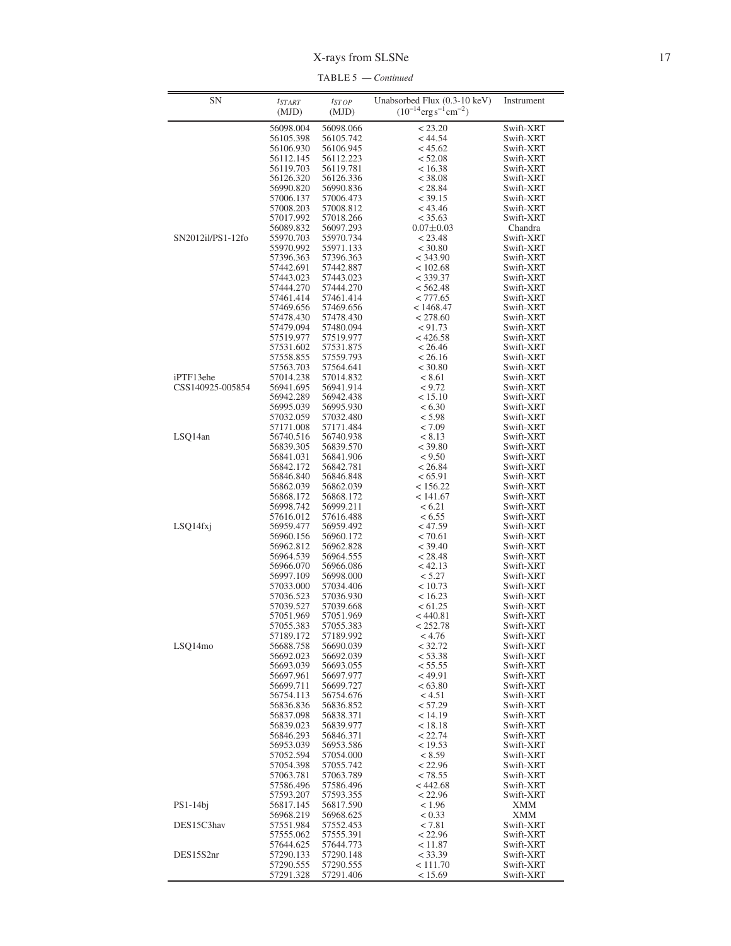TABLE 5 — *Continued*

| SN                | $t_{STAT}$             | $t_{STOP}$             | Unabsorbed Flux (0.3-10 keV)<br>$(10^{-14} \text{erg s}^{-1} \text{cm}^{-2})$ | Instrument               |
|-------------------|------------------------|------------------------|-------------------------------------------------------------------------------|--------------------------|
|                   | (MJD)                  | (MJD)                  |                                                                               |                          |
|                   | 56098.004              | 56098.066              | < 23.20                                                                       | Swift-XRT                |
|                   | 56105.398              | 56105.742              | < 44.54                                                                       | Swift-XRT<br>Swift-XRT   |
|                   | 56106.930<br>56112.145 | 56106.945<br>56112.223 | < 45.62<br>< 52.08                                                            | Swift-XRT                |
|                   | 56119.703              | 56119.781              | < 16.38                                                                       | Swift-XRT                |
|                   | 56126.320              | 56126.336              | < 38.08                                                                       | Swift-XRT                |
|                   | 56990.820              | 56990.836              | < 28.84                                                                       | Swift-XRT                |
|                   | 57006.137              | 57006.473              | < 39.15                                                                       | Swift-XRT                |
|                   | 57008.203              | 57008.812              | < 43.46                                                                       | Swift-XRT<br>Swift-XRT   |
|                   | 57017.992<br>56089.832 | 57018.266<br>56097.293 | < 35.63<br>$0.07 \pm 0.03$                                                    | Chandra                  |
| SN2012il/PS1-12fo | 55970.703              | 55970.734              | < 23.48                                                                       | Swift-XRT                |
|                   | 55970.992              | 55971.133              | < 30.80                                                                       | Swift-XRT                |
|                   | 57396.363              | 57396.363              | < 343.90                                                                      | Swift-XRT                |
|                   | 57442.691              | 57442.887              | < 102.68                                                                      | Swift-XRT                |
|                   | 57443.023<br>57444.270 | 57443.023<br>57444.270 | $<$ 339.37<br>< 562.48                                                        | Swift-XRT<br>Swift-XRT   |
|                   | 57461.414              | 57461.414              | < 777.65                                                                      | Swift-XRT                |
|                   | 57469.656              | 57469.656              | < 1468.47                                                                     | Swift-XRT                |
|                   | 57478.430              | 57478.430              | < 278.60                                                                      | Swift-XRT                |
|                   | 57479.094              | 57480.094              | < 91.73                                                                       | Swift-XRT                |
|                   | 57519.977              | 57519.977              | $<$ 426.58                                                                    | Swift-XRT                |
|                   | 57531.602<br>57558.855 | 57531.875<br>57559.793 | < 26.46<br>< 26.16                                                            | Swift-XRT<br>Swift-XRT   |
|                   | 57563.703              | 57564.641              | < 30.80                                                                       | Swift-XRT                |
| iPTF13ehe         | 57014.238              | 57014.832              | < 8.61                                                                        | Swift-XRT                |
| CSS140925-005854  | 56941.695              | 56941.914              | < 9.72                                                                        | Swift-XRT                |
|                   | 56942.289              | 56942.438              | < 15.10                                                                       | Swift-XRT                |
|                   | 56995.039              | 56995.930              | < 6.30                                                                        | Swift-XRT                |
|                   | 57032.059<br>57171.008 | 57032.480<br>57171.484 | < 5.98<br>< 7.09                                                              | Swift-XRT<br>Swift-XRT   |
| LSQ14an           | 56740.516              | 56740.938              | < 8.13                                                                        | Swift-XRT                |
|                   | 56839.305              | 56839.570              | < 39.80                                                                       | Swift-XRT                |
|                   | 56841.031              | 56841.906              | < 9.50                                                                        | Swift-XRT                |
|                   | 56842.172              | 56842.781              | < 26.84                                                                       | Swift-XRT                |
|                   | 56846.840<br>56862.039 | 56846.848<br>56862.039 | < 65.91<br>< 156.22                                                           | Swift-XRT<br>Swift-XRT   |
|                   | 56868.172              | 56868.172              | < 141.67                                                                      | Swift-XRT                |
|                   | 56998.742              | 56999.211              | < 6.21                                                                        | Swift-XRT                |
|                   | 57616.012              | 57616.488              | < 6.55                                                                        | Swift-XRT                |
| LSQ14fxj          | 56959.477              | 56959.492              | < 47.59                                                                       | Swift-XRT                |
|                   | 56960.156              | 56960.172              | < 70.61<br>< 39.40                                                            | Swift-XRT<br>Swift-XRT   |
|                   | 56962.812<br>56964.539 | 56962.828<br>56964.555 | < 28.48                                                                       | Swift-XRT                |
|                   | 56966.070              | 56966.086              | < 42.13                                                                       | Swift-XRT                |
|                   | 56997.109              | 56998.000              | < 5.27                                                                        | Swift-XRT                |
|                   | 57033.000              | 57034.406              | < 10.73                                                                       | Swift-XRT                |
|                   | 57036.523              | 57036.930              | < 16.23                                                                       | Swift-XRT                |
|                   | 57039.527<br>57051.969 | 57039.668<br>57051.969 | < 61.25<br>$<$ 440.81                                                         | Swift-XRT<br>Swift-XRT   |
|                   | 57055.383              | 57055.383              | < 252.78                                                                      | Swift-XRT                |
|                   | 57189.172              | 57189.992              | < 4.76                                                                        | Swift-XRT                |
| LSQ14mo           | 56688.758              | 56690.039              | < 32.72                                                                       | Swift-XRT                |
|                   | 56692.023              | 56692.039              | < 53.38                                                                       | Swift-XRT                |
|                   | 56693.039<br>56697.961 | 56693.055<br>56697.977 | < 55.55<br>< 49.91                                                            | Swift-XRT<br>Swift-XRT   |
|                   | 56699.711              | 56699.727              | < 63.80                                                                       | Swift-XRT                |
|                   | 56754.113              | 56754.676              | < 4.51                                                                        | Swift-XRT                |
|                   | 56836.836              | 56836.852              | < 57.29                                                                       | Swift-XRT                |
|                   | 56837.098              | 56838.371              | < 14.19                                                                       | Swift-XRT                |
|                   | 56839.023              | 56839.977              | < 18.18                                                                       | Swift-XRT                |
|                   | 56846.293<br>56953.039 | 56846.371<br>56953.586 | < 22.74<br>< 19.53                                                            | Swift-XRT<br>Swift-XRT   |
|                   | 57052.594              | 57054.000              | < 8.59                                                                        | Swift-XRT                |
|                   | 57054.398              | 57055.742              | < 22.96                                                                       | Swift-XRT                |
|                   | 57063.781              | 57063.789              | < 78.55                                                                       | Swift-XRT                |
|                   | 57586.496              | 57586.496              | < 442.68                                                                      | Swift-XRT                |
|                   | 57593.207              | 57593.355              | < 22.96                                                                       | Swift-XRT                |
| $PS1-14bj$        | 56817.145<br>56968.219 | 56817.590<br>56968.625 | < 1.96<br>< 0.33                                                              | <b>XMM</b><br><b>XMM</b> |
| DES15C3hav        | 57551.984              | 57552.453              | < 7.81                                                                        | Swift-XRT                |
|                   | 57555.062              | 57555.391              | < 22.96                                                                       | Swift-XRT                |
|                   | 57644.625              | 57644.773              | < 11.87                                                                       | Swift-XRT                |
| DES15S2nr         | 57290.133              | 57290.148              | < 33.39                                                                       | Swift-XRT                |
|                   | 57290.555              | 57290.555              | < 111.70                                                                      | Swift-XRT                |
|                   | 57291.328              | 57291.406              | < 15.69                                                                       | Swift-XRT                |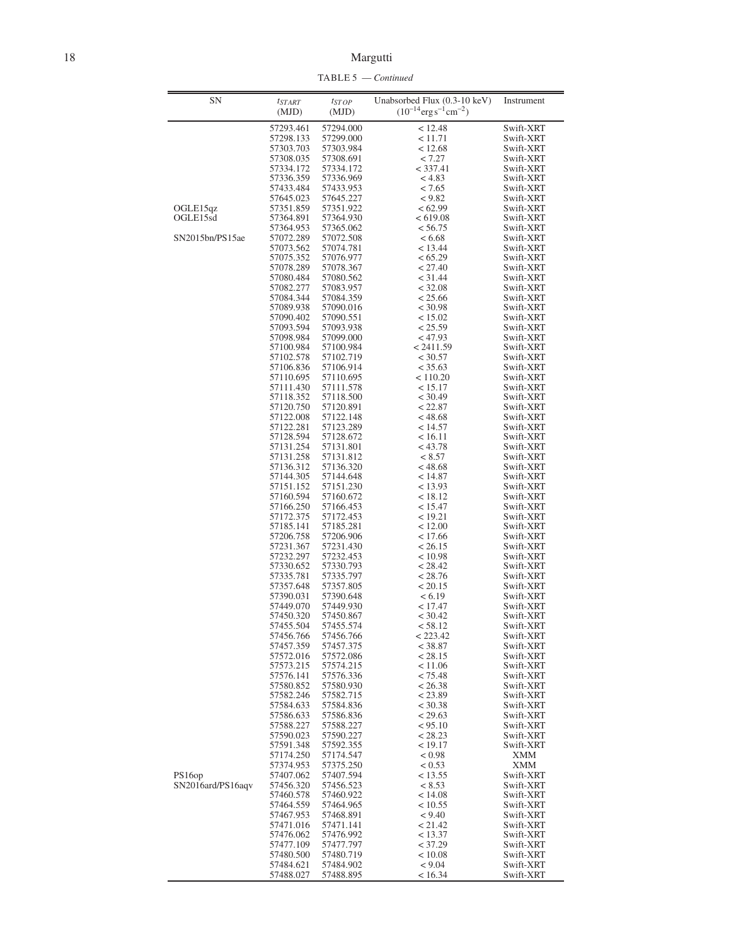TABLE 5 — *Continued*

| <b>SN</b>         | $t_{START}$            | $t_{STOP}$             | Unabsorbed Flux (0.3-10 keV)                  | Instrument              |
|-------------------|------------------------|------------------------|-----------------------------------------------|-------------------------|
|                   | (MJD)                  | (MJD)                  | $(10^{-14} \text{erg s}^{-1} \text{cm}^{-2})$ |                         |
|                   | 57293.461              | 57294.000              | < 12.48                                       | Swift-XRT               |
|                   | 57298.133              | 57299.000              | < 11.71                                       | Swift-XRT               |
|                   | 57303.703<br>57308.035 | 57303.984<br>57308.691 | < 12.68<br>< 7.27                             | Swift-XRT<br>Swift-XRT  |
|                   | 57334.172              | 57334.172              | $<$ 337.41                                    | Swift-XRT               |
|                   | 57336.359              | 57336.969              | < 4.83                                        | Swift-XRT               |
|                   | 57433.484              | 57433.953              | < 7.65                                        | Swift-XRT               |
|                   | 57645.023              | 57645.227              | < 9.82                                        | Swift-XRT               |
| OGLE15qz          | 57351.859              | 57351.922              | <62.99                                        | Swift-XRT<br>Swift-XRT  |
| OGLE15sd          | 57364.891<br>57364.953 | 57364.930<br>57365.062 | < 619.08<br>< 56.75                           | Swift-XRT               |
| SN2015bn/PS15ae   | 57072.289              | 57072.508              | < 6.68                                        | Swift-XRT               |
|                   | 57073.562              | 57074.781              | < 13.44                                       | Swift-XRT               |
|                   | 57075.352              | 57076.977              | < 65.29                                       | Swift-XRT               |
|                   | 57078.289              | 57078.367              | < 27.40                                       | Swift-XRT               |
|                   | 57080.484<br>57082.277 | 57080.562<br>57083.957 | $<$ 31.44<br>< 32.08                          | Swift-XRT<br>Swift-XRT  |
|                   | 57084.344              | 57084.359              | < 25.66                                       | Swift-XRT               |
|                   | 57089.938              | 57090.016              | < 30.98                                       | Swift-XRT               |
|                   | 57090.402              | 57090.551              | < 15.02                                       | Swift-XRT               |
|                   | 57093.594              | 57093.938              | < 25.59                                       | Swift-XRT               |
|                   | 57098.984              | 57099.000              | < 47.93                                       | Swift-XRT               |
|                   | 57100.984              | 57100.984              | < 2411.59                                     | Swift-XRT               |
|                   | 57102.578<br>57106.836 | 57102.719<br>57106.914 | < 30.57<br>< 35.63                            | Swift-XRT<br>Swift-XRT  |
|                   | 57110.695              | 57110.695              | < 110.20                                      | Swift-XRT               |
|                   | 57111.430              | 57111.578              | < 15.17                                       | Swift-XRT               |
|                   | 57118.352              | 57118.500              | < 30.49                                       | Swift-XRT               |
|                   | 57120.750              | 57120.891              | < 22.87                                       | Swift-XRT               |
|                   | 57122.008              | 57122.148              | < 48.68                                       | Swift-XRT               |
|                   | 57122.281<br>57128.594 | 57123.289<br>57128.672 | < 14.57<br>< 16.11                            | Swift-XRT<br>Swift-XRT  |
|                   | 57131.254              | 57131.801              | < 43.78                                       | Swift-XRT               |
|                   | 57131.258              | 57131.812              | < 8.57                                        | Swift-XRT               |
|                   | 57136.312              | 57136.320              | < 48.68                                       | Swift-XRT               |
|                   | 57144.305              | 57144.648              | < 14.87                                       | Swift-XRT               |
|                   | 57151.152              | 57151.230              | < 13.93                                       | Swift-XRT               |
|                   | 57160.594<br>57166.250 | 57160.672<br>57166.453 | < 18.12<br>< 15.47                            | Swift-XRT<br>Swift-XRT  |
|                   | 57172.375              | 57172.453              | < 19.21                                       | Swift-XRT               |
|                   | 57185.141              | 57185.281              | < 12.00                                       | Swift-XRT               |
|                   | 57206.758              | 57206.906              | < 17.66                                       | Swift-XRT               |
|                   | 57231.367              | 57231.430              | < 26.15                                       | Swift-XRT               |
|                   | 57232.297<br>57330.652 | 57232.453<br>57330.793 | < 10.98<br>< 28.42                            | Swift-XRT<br>Swift-XRT  |
|                   | 57335.781              | 57335.797              | < 28.76                                       | Swift-XRT               |
|                   | 57357.648              | 57357.805              | < 20.15                                       | Swift-XRT               |
|                   | 57390.031              | 57390.648              | < 6.19                                        | Swift-XRT               |
|                   | 57449.070              | 57449.930              | < 17.47                                       | Swift-XRT               |
|                   | 57450.320              | 57450.867              | < 30.42                                       | Swift-XRT               |
|                   | 57455.504<br>57456.766 | 57455.574<br>57456.766 | < 58.12<br>< 223.42                           | Swift-XRT<br>Swift-XRT  |
|                   | 57457.359              | 57457.375              | < 38.87                                       | Swift-XRT               |
|                   | 57572.016              | 57572.086              | < 28.15                                       | Swift-XRT               |
|                   | 57573.215              | 57574.215              | < 11.06                                       | Swift-XRT               |
|                   | 57576.141              | 57576.336              | < 75.48                                       | Swift-XRT               |
|                   | 57580.852              | 57580.930              | < 26.38                                       | Swift-XRT               |
|                   | 57582.246<br>57584.633 | 57582.715<br>57584.836 | < 23.89<br>< 30.38                            | Swift-XRT<br>Swift-XRT  |
|                   | 57586.633              | 57586.836              | < 29.63                                       | Swift-XRT               |
|                   | 57588.227              | 57588.227              | < 95.10                                       | Swift-XRT               |
|                   | 57590.023              | 57590.227              | < 28.23                                       | Swift-XRT               |
|                   | 57591.348              | 57592.355              | < 19.17                                       | Swift-XRT               |
|                   | 57174.250              | 57174.547              | < 0.98                                        | <b>XMM</b>              |
| PS16op            | 57374.953<br>57407.062 | 57375.250<br>57407.594 | < 0.53<br>< 13.55                             | <b>XMM</b><br>Swift-XRT |
| SN2016ard/PS16aqv | 57456.320              | 57456.523              | < 8.53                                        | Swift-XRT               |
|                   | 57460.578              | 57460.922              | < 14.08                                       | Swift-XRT               |
|                   | 57464.559              | 57464.965              | < 10.55                                       | Swift-XRT               |
|                   | 57467.953              | 57468.891              | < 9.40                                        | Swift-XRT               |
|                   | 57471.016              | 57471.141              | < 21.42                                       | Swift-XRT               |
|                   | 57476.062              | 57476.992              | < 13.37                                       | Swift-XRT               |
|                   | 57477.109<br>57480.500 | 57477.797<br>57480.719 | < 37.29<br>< 10.08                            | Swift-XRT<br>Swift-XRT  |
|                   | 57484.621              | 57484.902              | < 9.04                                        | Swift-XRT               |
|                   |                        |                        |                                               |                         |